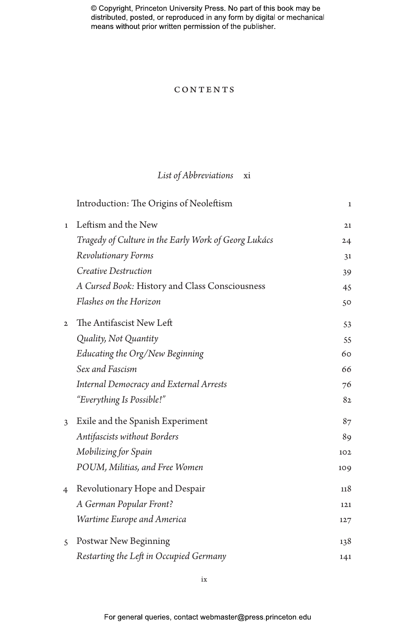# **CONTENTS**

# *List of Abbreviations* xi

|                | Introduction: The Origins of Neoleftism              | $\mathbf{1}$ |
|----------------|------------------------------------------------------|--------------|
| $\mathbf{1}$   | Leftism and the New                                  | 21           |
|                | Tragedy of Culture in the Early Work of Georg Lukács | 24           |
|                | Revolutionary Forms                                  | 31           |
|                | Creative Destruction                                 | 39           |
|                | A Cursed Book: History and Class Consciousness       | 45           |
|                | Flashes on the Horizon                               | 50           |
| $\mathbf{2}$   | The Antifascist New Left                             | 53           |
|                | Quality, Not Quantity                                | 55           |
|                | Educating the Org/New Beginning                      | 60           |
|                | Sex and Fascism                                      | 66           |
|                | <b>Internal Democracy and External Arrests</b>       | 76           |
|                | "Everything Is Possible!"                            | 82           |
| 3              | Exile and the Spanish Experiment                     | 87           |
|                | <b>Antifascists without Borders</b>                  | 89           |
|                | Mobilizing for Spain                                 | 102          |
|                | POUM, Militias, and Free Women                       | 109          |
| $\overline{4}$ | Revolutionary Hope and Despair                       | 118          |
|                | A German Popular Front?                              | 121          |
|                | Wartime Europe and America                           | 127          |
| 5              | Postwar New Beginning                                | 138          |
|                | Restarting the Left in Occupied Germany              | 141          |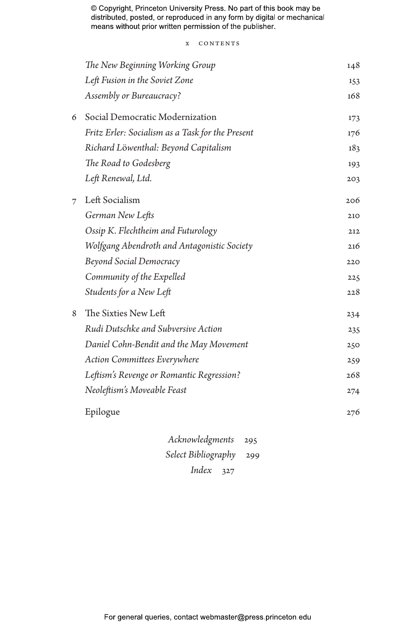x CONTENTS

|   | The New Beginning Working Group                  | 148 |
|---|--------------------------------------------------|-----|
|   | Left Fusion in the Soviet Zone                   | 153 |
|   | Assembly or Bureaucracy?                         | 168 |
| 6 | Social Democratic Modernization                  | 173 |
|   | Fritz Erler: Socialism as a Task for the Present | 176 |
|   | Richard Löwenthal: Beyond Capitalism             | 183 |
|   | The Road to Godesberg                            | 193 |
|   | Left Renewal, Ltd.                               | 203 |
| 7 | Left Socialism                                   | 206 |
|   | German New Lefts                                 | 210 |
|   | Ossip K. Flechtheim and Futurology               | 212 |
|   | Wolfgang Abendroth and Antagonistic Society      | 216 |
|   | <b>Beyond Social Democracy</b>                   | 220 |
|   | Community of the Expelled                        | 225 |
|   | Students for a New Left                          | 228 |
| 8 | The Sixties New Left                             | 234 |
|   | Rudi Dutschke and Subversive Action              | 235 |
|   | Daniel Cohn-Bendit and the May Movement          | 250 |
|   | <b>Action Committees Everywhere</b>              | 259 |
|   | Leftism's Revenge or Romantic Regression?        | 268 |
|   | Neoleftism's Moveable Feast                      | 274 |
|   | Epilogue                                         | 276 |
|   | Acknowledgments<br>295                           |     |
|   | Select Bibliography<br>299                       |     |
|   |                                                  |     |

*Index* 327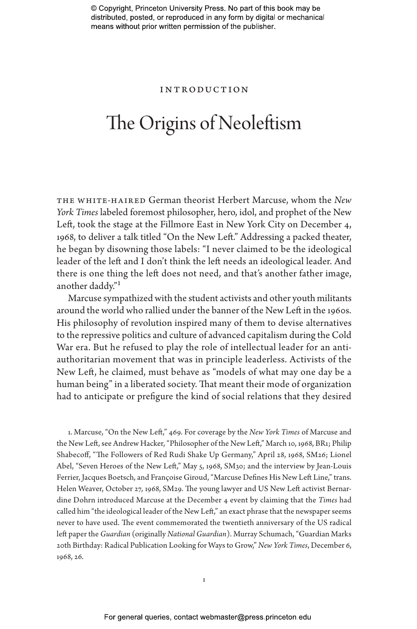### Introduction

# The Origins of Neoleftism

the white-haired German theorist Herbert Marcuse, whom the *New York Times* labeled foremost philosopher, hero, idol, and prophet of the New Left, took the stage at the Fillmore East in New York City on December 4, 1968, to deliver a talk titled "On the New Left." Addressing a packed theater, he began by disowning those labels: "I never claimed to be the ideological leader of the left and I don't think the left needs an ideological leader. And there is one thing the left does not need, and that's another father image, another daddy."1

Marcuse sympathized with the student activists and other youth militants around the world who rallied under the banner of the New Left in the 1960s. His philosophy of revolution inspired many of them to devise alternatives to the repressive politics and culture of advanced capitalism during the Cold War era. But he refused to play the role of intellectual leader for an antiauthoritarian movement that was in principle leaderless. Activists of the New Left, he claimed, must behave as "models of what may one day be a human being" in a liberated society. That meant their mode of organization had to anticipate or prefigure the kind of social relations that they desired

1. Marcuse, "On the New Left," 469. For coverage by the *New York Times* of Marcuse and the New Left, see Andrew Hacker, "Philosopher of the New Left," March 10, 1968, BR1; Philip Shabecoff, "The Followers of Red Rudi Shake Up Germany," April 28, 1968, SM26; Lionel Abel, "Seven Heroes of the New Left," May 5, 1968, SM30; and the interview by Jean-Louis Ferrier, Jacques Boetsch, and Françoise Giroud, "Marcuse Defines His New Left Line," trans. Helen Weaver, October 27, 1968, SM29. The young lawyer and US New Left activist Bernardine Dohrn introduced Marcuse at the December 4 event by claiming that the *Times* had called him "the ideological leader of the New Left," an exact phrase that the newspaper seems never to have used. The event commemorated the twentieth anniversary of the US radical left paper the *Guardian* (originally *National Guardian*). Murray Schumach, "Guardian Marks 20th Birthday: Radical Publication Looking for Ways to Grow," *New York Times*, December 6, 1968, 26.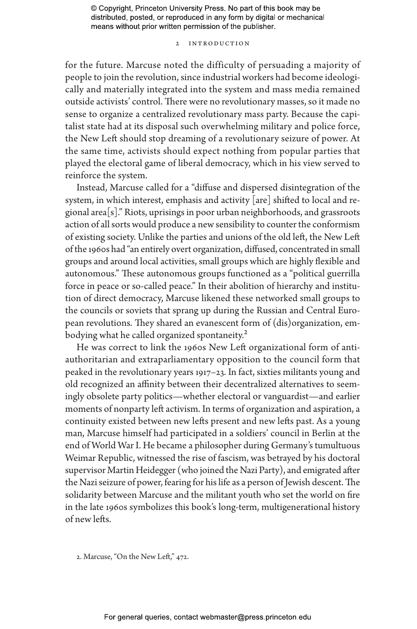# 2 Introduction

for the future. Marcuse noted the difficulty of persuading a majority of people to join the revolution, since industrial workers had become ideologically and materially integrated into the system and mass media remained outside activists' control. There were no revolutionary masses, so it made no sense to organize a centralized revolutionary mass party. Because the capitalist state had at its disposal such overwhelming military and police force, the New Left should stop dreaming of a revolutionary seizure of power. At the same time, activists should expect nothing from popular parties that played the electoral game of liberal democracy, which in his view served to reinforce the system.

Instead, Marcuse called for a "diffuse and dispersed disintegration of the system, in which interest, emphasis and activity [are] shifted to local and regional area[s]." Riots, uprisings in poor urban neighborhoods, and grassroots action of all sorts would produce a new sensibility to counter the conformism of existing society. Unlike the parties and unions of the old left, the New Left of the 1960s had "an entirely overt organization, diffused, concentrated in small groups and around local activities, small groups which are highly flexible and autonomous." These autonomous groups functioned as a "political guerrilla force in peace or so-called peace." In their abolition of hierarchy and institution of direct democracy, Marcuse likened these networked small groups to the councils or soviets that sprang up during the Russian and Central European revolutions. They shared an evanescent form of (dis)organization, embodying what he called organized spontaneity.<sup>2</sup>

He was correct to link the 1960s New Left organizational form of antiauthoritarian and extraparliamentary opposition to the council form that peaked in the revolutionary years 1917–23. In fact, sixties militants young and old recognized an affinity between their decentralized alternatives to seemingly obsolete party politics—whether electoral or vanguardist—and earlier moments of nonparty left activism. In terms of organization and aspiration, a continuity existed between new lefts present and new lefts past. As a young man, Marcuse himself had participated in a soldiers' council in Berlin at the end of World War I. He became a philosopher during Germany's tumultuous Weimar Republic, witnessed the rise of fascism, was betrayed by his doctoral supervisor Martin Heidegger (who joined the Nazi Party), and emigrated after the Nazi seizure of power, fearing for his life as a person of Jewish descent. The solidarity between Marcuse and the militant youth who set the world on fire in the late 1960s symbolizes this book's long-term, multigenerational history of new lefts.

2. Marcuse, "On the New Left," 472.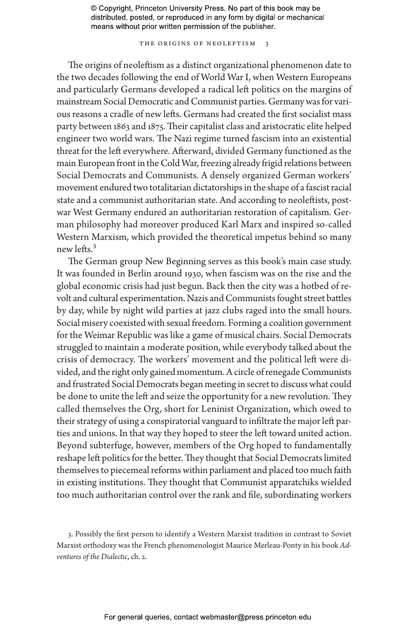THE ORIGINS OF NEOLEFTISM 3

The origins of neoleftism as a distinct organizational phenomenon date to the two decades following the end of World War I, when Western Europeans and particularly Germans developed a radical left politics on the margins of mainstream Social Democratic and Communist parties. Germany was for various reasons a cradle of new lefts. Germans had created the first socialist mass party between 1863 and 1875. Their capitalist class and aristocratic elite helped engineer two world wars. The Nazi regime turned fascism into an existential threat for the left everywhere. Afterward, divided Germany functioned as the main European front in the Cold War, freezing already frigid relations between Social Democrats and Communists. A densely organized German workers' movement endured two totalitarian dictatorships in the shape of a fascist racial state and a communist authoritarian state. And according to neoleftists, postwar West Germany endured an authoritarian restoration of capitalism. German philosophy had moreover produced Karl Marx and inspired so-called Western Marxism, which provided the theoretical impetus behind so many new lefts.3

The German group New Beginning serves as this book's main case study. It was founded in Berlin around 1930, when fascism was on the rise and the global economic crisis had just begun. Back then the city was a hotbed of revolt and cultural experimentation. Nazis and Communists fought street battles by day, while by night wild parties at jazz clubs raged into the small hours. Social misery coexisted with sexual freedom. Forming a coalition government for the Weimar Republic was like a game of musical chairs. Social Democrats struggled to maintain a moderate position, while everybody talked about the crisis of democracy. The workers' movement and the political left were divided, and the right only gained momentum. A circle of renegade Communists and frustrated Social Democrats began meeting in secret to discuss what could be done to unite the left and seize the opportunity for a new revolution. They called themselves the Org, short for Leninist Organization, which owed to their strategy of using a conspiratorial vanguard to infiltrate the major left parties and unions. In that way they hoped to steer the left toward united action. Beyond subterfuge, however, members of the Org hoped to fundamentally reshape left politics for the better. They thought that Social Democrats limited themselves to piecemeal reforms within parliament and placed too much faith in existing institutions. They thought that Communist apparatchiks wielded too much authoritarian control over the rank and file, subordinating workers

3. Possibly the first person to identify a Western Marxist tradition in contrast to Soviet Marxist orthodoxy was the French phenomenologist Maurice Merleau-Ponty in his book *Adventures of the Dialectic*, ch. 2.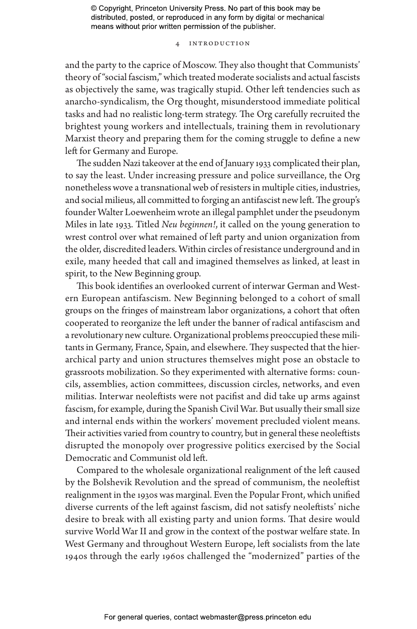# 4 Introduction

and the party to the caprice of Moscow. They also thought that Communists' theory of "social fascism," which treated moderate socialists and actual fascists as objectively the same, was tragically stupid. Other left tendencies such as anarcho-syndicalism, the Org thought, misunderstood immediate political tasks and had no realistic long-term strategy. The Org carefully recruited the brightest young workers and intellectuals, training them in revolutionary Marxist theory and preparing them for the coming struggle to define a new left for Germany and Europe.

The sudden Nazi takeover at the end of January 1933 complicated their plan, to say the least. Under increasing pressure and police surveillance, the Org nonetheless wove a transnational web of resisters in multiple cities, industries, and social milieus, all committed to forging an antifascist new left. The group's founder Walter Loewenheim wrote an illegal pamphlet under the pseudonym Miles in late 1933. Titled *Neu beginnen!*, it called on the young generation to wrest control over what remained of left party and union organization from the older, discredited leaders. Within circles of resistance underground and in exile, many heeded that call and imagined themselves as linked, at least in spirit, to the New Beginning group.

This book identifies an overlooked current of interwar German and Western European antifascism. New Beginning belonged to a cohort of small groups on the fringes of mainstream labor organizations, a cohort that often cooperated to reorganize the left under the banner of radical antifascism and a revolutionary new culture. Organizational problems preoccupied these militants in Germany, France, Spain, and elsewhere. They suspected that the hierarchical party and union structures themselves might pose an obstacle to grassroots mobilization. So they experimented with alternative forms: councils, assemblies, action committees, discussion circles, networks, and even militias. Interwar neoleftists were not pacifist and did take up arms against fascism, for example, during the Spanish Civil War. But usually their small size and internal ends within the workers' movement precluded violent means. Their activities varied from country to country, but in general these neoleftists disrupted the monopoly over progressive politics exercised by the Social Democratic and Communist old left.

Compared to the wholesale organizational realignment of the left caused by the Bolshevik Revolution and the spread of communism, the neoleftist realignment in the 1930s was marginal. Even the Popular Front, which unified diverse currents of the left against fascism, did not satisfy neoleftists' niche desire to break with all existing party and union forms. That desire would survive World War II and grow in the context of the postwar welfare state. In West Germany and throughout Western Europe, left socialists from the late 1940s through the early 1960s challenged the "modernized" parties of the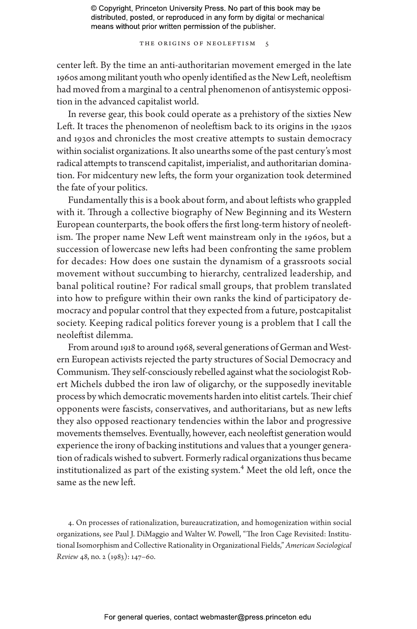THE ORIGINS OF NEOLEFTISM 5

center left. By the time an anti-authoritarian movement emerged in the late 1960s among militant youth who openly identified as the New Left, neoleftism had moved from a marginal to a central phenomenon of antisystemic opposition in the advanced capitalist world.

In reverse gear, this book could operate as a prehistory of the sixties New Left. It traces the phenomenon of neoleftism back to its origins in the 1920s and 1930s and chronicles the most creative attempts to sustain democracy within socialist organizations. It also unearths some of the past century's most radical attempts to transcend capitalist, imperialist, and authoritarian domination. For midcentury new lefts, the form your organization took determined the fate of your politics.

Fundamentally this is a book about form, and about leftists who grappled with it. Through a collective biography of New Beginning and its Western European counterparts, the book offers the first long-term history of neoleftism. The proper name New Left went mainstream only in the 1960s, but a succession of lowercase new lefts had been confronting the same problem for decades: How does one sustain the dynamism of a grassroots social movement without succumbing to hierarchy, centralized leadership, and banal political routine? For radical small groups, that problem translated into how to prefigure within their own ranks the kind of participatory democracy and popular control that they expected from a future, postcapitalist society. Keeping radical politics forever young is a problem that I call the neoleftist dilemma.

From around 1918 to around 1968, several generations of German and Western European activists rejected the party structures of Social Democracy and Communism. They self-consciously rebelled against what the sociologist Robert Michels dubbed the iron law of oligarchy, or the supposedly inevitable process by which democratic movements harden into elitist cartels. Their chief opponents were fascists, conservatives, and authoritarians, but as new lefts they also opposed reactionary tendencies within the labor and progressive movements themselves. Eventually, however, each neoleftist generation would experience the irony of backing institutions and values that a younger generation of radicals wished to subvert. Formerly radical organizations thus became institutionalized as part of the existing system.<sup>4</sup> Meet the old left, once the same as the new left.

4. On processes of rationalization, bureaucratization, and homogenization within social organizations, see Paul J. DiMaggio and Walter W. Powell, "The Iron Cage Revisited: Institutional Isomorphism and Collective Rationality in Organizational Fields," *American Sociological Review* 48, no. 2 (1983): 147–60.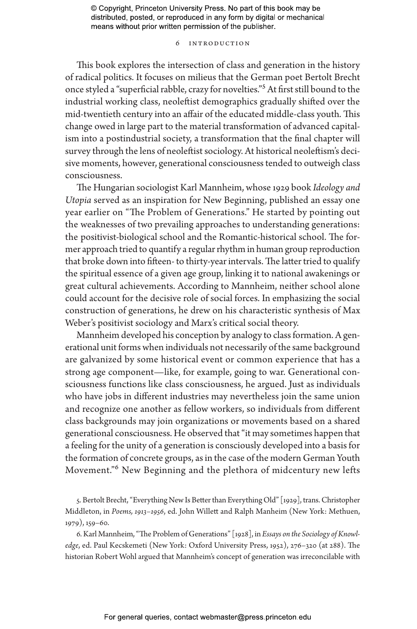# 6 Introduction

This book explores the intersection of class and generation in the history of radical politics. It focuses on milieus that the German poet Bertolt Brecht once styled a "superficial rabble, crazy for novelties."5 At first still bound to the industrial working class, neoleftist demographics gradually shifted over the mid-twentieth century into an affair of the educated middle-class youth. This change owed in large part to the material transformation of advanced capitalism into a postindustrial society, a transformation that the final chapter will survey through the lens of neoleftist sociology. At historical neoleftism's decisive moments, however, generational consciousness tended to outweigh class consciousness.

The Hungarian sociologist Karl Mannheim, whose 1929 book *Ideology and Utopia* served as an inspiration for New Beginning, published an essay one year earlier on "The Problem of Generations." He started by pointing out the weaknesses of two prevailing approaches to understanding generations: the positivist-biological school and the Romantic-historical school. The former approach tried to quantify a regular rhythm in human group reproduction that broke down into fifteen- to thirty-year intervals. The latter tried to qualify the spiritual essence of a given age group, linking it to national awakenings or great cultural achievements. According to Mannheim, neither school alone could account for the decisive role of social forces. In emphasizing the social construction of generations, he drew on his characteristic synthesis of Max Weber's positivist sociology and Marx's critical social theory.

Mannheim developed his conception by analogy to class formation. A generational unit forms when individuals not necessarily of the same background are galvanized by some historical event or common experience that has a strong age component—like, for example, going to war. Generational consciousness functions like class consciousness, he argued. Just as individuals who have jobs in different industries may nevertheless join the same union and recognize one another as fellow workers, so individuals from different class backgrounds may join organizations or movements based on a shared generational consciousness. He observed that "it may sometimes happen that a feeling for the unity of a generation is consciously developed into a basis for the formation of concrete groups, as in the case of the modern German Youth Movement."6 New Beginning and the plethora of midcentury new lefts

5. Bertolt Brecht, "Everything New Is Better than Everything Old" [1929], trans. Christopher Middleton, in *Poems, 1913–1956*, ed. John Willett and Ralph Manheim (New York: Methuen, 1979), 159–60.

6. Karl Mannheim, "The Problem of Generations" [1928], in *Essays on the Sociology of Knowledge*, ed. Paul Kecskemeti (New York: Oxford University Press, 1952), 276–320 (at 288). The historian Robert Wohl argued that Mannheim's concept of generation was irreconcilable with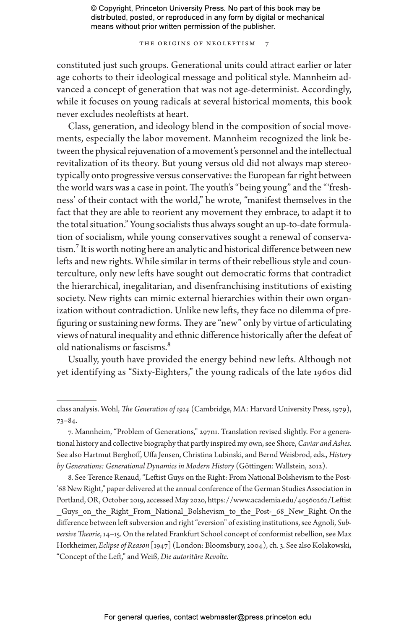THE ORIGINS OF NEOLEFTISM

constituted just such groups. Generational units could attract earlier or later age cohorts to their ideological message and political style. Mannheim advanced a concept of generation that was not age-determinist. Accordingly, while it focuses on young radicals at several historical moments, this book never excludes neoleftists at heart.

Class, generation, and ideology blend in the composition of social movements, especially the labor movement. Mannheim recognized the link between the physical rejuvenation of a movement's personnel and the intellectual revitalization of its theory. But young versus old did not always map stereotypically onto progressive versus conservative: the European far right between the world wars was a case in point. The youth's "being young" and the "'freshness' of their contact with the world," he wrote, "manifest themselves in the fact that they are able to reorient any movement they embrace, to adapt it to the total situation." Young socialists thus always sought an up-to-date formulation of socialism, while young conservatives sought a renewal of conservatism.7 It is worth noting here an analytic and historical difference between new lefts and new rights. While similar in terms of their rebellious style and counterculture, only new lefts have sought out democratic forms that contradict the hierarchical, inegalitarian, and disenfranchising institutions of existing society. New rights can mimic external hierarchies within their own organization without contradiction. Unlike new lefts, they face no dilemma of prefiguring or sustaining new forms. They are "new" only by virtue of articulating views of natural inequality and ethnic difference historically after the defeat of old nationalisms or fascisms.8

Usually, youth have provided the energy behind new lefts. Although not yet identifying as "Sixty-Eighters," the young radicals of the late 1960s did

class analysis. Wohl, *The Generation of 1914* (Cambridge, MA: Harvard University Press, 1979), 73–84.

<sup>7.</sup> Mannheim, "Problem of Generations," 297n1. Translation revised slightly. For a generational history and collective biography that partly inspired my own, see Shore, *Caviar and Ashes*. See also Hartmut Berghoff, Uffa Jensen, Christina Lubinski, and Bernd Weisbrod, eds., *History by Generations: Generational Dynamics in Modern History* (Göttingen: Wallstein, 2012).

<sup>8.</sup> See Terence Renaud, "Leftist Guys on the Right: From National Bolshevism to the Post- '68 New Right," paper delivered at the annual conference of the German Studies Association in Portland, OR, October 2019, accessed May 2020, https://www.academia.edu/40560262/Leftist Guys on the Right From National Bolshevism to the Post- 68 New Right. On the difference between left subversion and right "eversion" of existing institutions, see Agnoli, *Subversive Theorie*, 14–15. On the related Frankfurt School concept of conformist rebellion, see Max Horkheimer, *Eclipse of Reason* [1947] (London: Bloomsbury, 2004), ch. 3. See also Kołakowski, "Concept of the Left," and Weiß, *Die autoritäre Revolte*.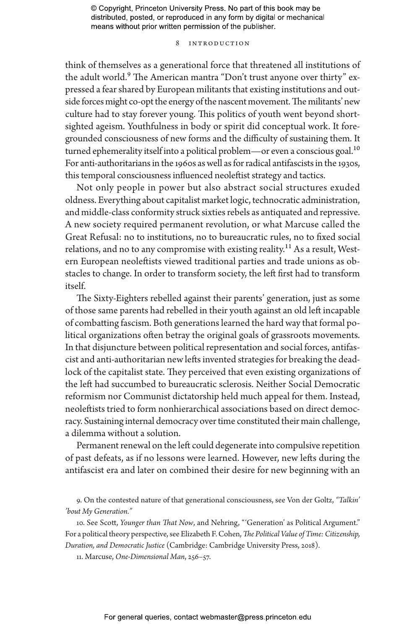# 8 Introduction

think of themselves as a generational force that threatened all institutions of the adult world.<sup>9</sup> The American mantra "Don't trust anyone over thirty" expressed a fear shared by European militants that existing institutions and outside forces might co-opt the energy of the nascent movement. The militants' new culture had to stay forever young. This politics of youth went beyond shortsighted ageism. Youthfulness in body or spirit did conceptual work. It foregrounded consciousness of new forms and the difficulty of sustaining them. It turned ephemerality itself into a political problem—or even a conscious goal.<sup>10</sup> For anti-authoritarians in the 1960s as well as for radical antifascists in the 1930s, this temporal consciousness influenced neoleftist strategy and tactics.

Not only people in power but also abstract social structures exuded oldness. Everything about capitalist market logic, technocratic administration, and middle-class conformity struck sixties rebels as antiquated and repressive. A new society required permanent revolution, or what Marcuse called the Great Refusal: no to institutions, no to bureaucratic rules, no to fixed social relations, and no to any compromise with existing reality.<sup>11</sup> As a result, Western European neoleftists viewed traditional parties and trade unions as obstacles to change. In order to transform society, the left first had to transform itself.

The Sixty-Eighters rebelled against their parents' generation, just as some of those same parents had rebelled in their youth against an old left incapable of combatting fascism. Both generations learned the hard way that formal political organizations often betray the original goals of grassroots movements. In that disjuncture between political representation and social forces, antifascist and anti-authoritarian new lefts invented strategies for breaking the deadlock of the capitalist state. They perceived that even existing organizations of the left had succumbed to bureaucratic sclerosis. Neither Social Democratic reformism nor Communist dictatorship held much appeal for them. Instead, neoleftists tried to form nonhierarchical associations based on direct democracy. Sustaining internal democracy over time constituted their main challenge, a dilemma without a solution.

Permanent renewal on the left could degenerate into compulsive repetition of past defeats, as if no lessons were learned. However, new lefts during the antifascist era and later on combined their desire for new beginning with an

9. On the contested nature of that generational consciousness, see Von der Goltz, *"Talkin' 'bout My Generation."*

10. See Scott, *Younger than That Now*, and Nehring, "'Generation' as Political Argument." For a political theory perspective, see Elizabeth F. Cohen, *The Political Value of Time: Citizenship, Duration, and Democratic Justice* (Cambridge: Cambridge University Press, 2018).

11. Marcuse, *One-Dimensional Man*, 256–57.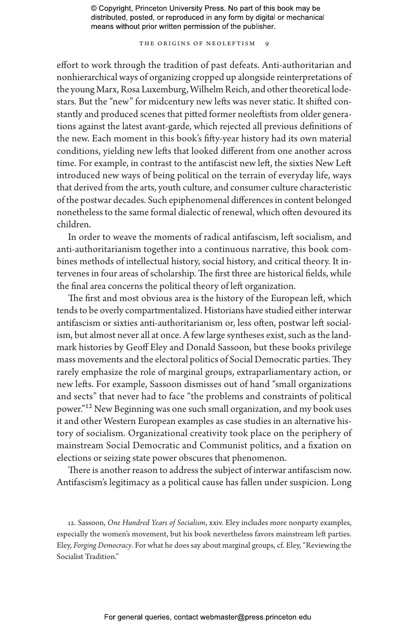THE ORIGINS OF NEOLEFTISM 9

effort to work through the tradition of past defeats. Anti-authoritarian and nonhierarchical ways of organizing cropped up alongside reinterpretations of the young Marx, Rosa Luxemburg, Wilhelm Reich, and other theoretical lodestars. But the "new" for midcentury new lefts was never static. It shifted constantly and produced scenes that pitted former neoleftists from older generations against the latest avant-garde, which rejected all previous definitions of the new. Each moment in this book's fifty-year history had its own material conditions, yielding new lefts that looked different from one another across time. For example, in contrast to the antifascist new left, the sixties New Left introduced new ways of being political on the terrain of everyday life, ways that derived from the arts, youth culture, and consumer culture characteristic of the postwar decades. Such epiphenomenal differences in content belonged nonetheless to the same formal dialectic of renewal, which often devoured its children.

In order to weave the moments of radical antifascism, left socialism, and anti-authoritarianism together into a continuous narrative, this book combines methods of intellectual history, social history, and critical theory. It intervenes in four areas of scholarship. The first three are historical fields, while the final area concerns the political theory of left organization.

The first and most obvious area is the history of the European left, which tends to be overly compartmentalized. Historians have studied either interwar antifascism or sixties anti-authoritarianism or, less often, postwar left socialism, but almost never all at once. A few large syntheses exist, such as the landmark histories by Geoff Eley and Donald Sassoon, but these books privilege mass movements and the electoral politics of Social Democratic parties. They rarely emphasize the role of marginal groups, extraparliamentary action, or new lefts. For example, Sassoon dismisses out of hand "small organizations and sects" that never had to face "the problems and constraints of political power."<sup>12</sup> New Beginning was one such small organization, and my book uses it and other Western European examples as case studies in an alternative history of socialism. Organizational creativity took place on the periphery of mainstream Social Democratic and Communist politics, and a fixation on elections or seizing state power obscures that phenomenon.

There is another reason to address the subject of interwar antifascism now. Antifascism's legitimacy as a political cause has fallen under suspicion. Long

12. Sassoon, *One Hundred Years of Socialism*, xxiv. Eley includes more nonparty examples, especially the women's movement, but his book nevertheless favors mainstream left parties. Eley, *Forging Democracy*. For what he does say about marginal groups, cf. Eley, "Reviewing the Socialist Tradition."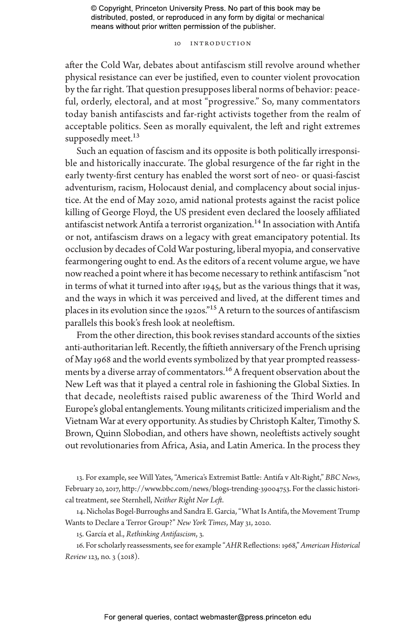10 Introduction

after the Cold War, debates about antifascism still revolve around whether physical resistance can ever be justified, even to counter violent provocation by the far right. That question presupposes liberal norms of behavior: peaceful, orderly, electoral, and at most "progressive." So, many commentators today banish antifascists and far-right activists together from the realm of acceptable politics. Seen as morally equivalent, the left and right extremes supposedly meet.<sup>13</sup>

Such an equation of fascism and its opposite is both politically irresponsible and historically inaccurate. The global resurgence of the far right in the early twenty-first century has enabled the worst sort of neo- or quasi-fascist adventurism, racism, Holocaust denial, and complacency about social injustice. At the end of May 2020, amid national protests against the racist police killing of George Floyd, the US president even declared the loosely affiliated antifascist network Antifa a terrorist organization.<sup>14</sup> In association with Antifa or not, antifascism draws on a legacy with great emancipatory potential. Its occlusion by decades of Cold War posturing, liberal myopia, and conservative fearmongering ought to end. As the editors of a recent volume argue, we have now reached a point where it has become necessary to rethink antifascism "not in terms of what it turned into after 1945, but as the various things that it was, and the ways in which it was perceived and lived, at the different times and places in its evolution since the 1920s."15 A return to the sources of antifascism parallels this book's fresh look at neoleftism.

From the other direction, this book revises standard accounts of the sixties anti-authoritarian left. Recently, the fiftieth anniversary of the French uprising of May 1968 and the world events symbolized by that year prompted reassessments by a diverse array of commentators.<sup>16</sup> A frequent observation about the New Left was that it played a central role in fashioning the Global Sixties. In that decade, neoleftists raised public awareness of the Third World and Europe's global entanglements. Young militants criticized imperialism and the Vietnam War at every opportunity. As studies by Christoph Kalter, Timothy S. Brown, Quinn Slobodian, and others have shown, neoleftists actively sought out revolutionaries from Africa, Asia, and Latin America. In the process they

13. For example, see Will Yates, "America's Extremist Battle: Antifa v Alt-Right," *BBC News*, February 20, 2017, http://www.bbc.com/news/blogs-trending-39004753. For the classic historical treatment, see Sternhell, *Neither Right Nor Left*.

14. Nicholas Bogel-Burroughs and Sandra E. Garcia, "What Is Antifa, the Movement Trump Wants to Declare a Terror Group?" *New York Times*, May 31, 2020.

15. García et al., *Rethinking Antifascism*, 3.

16. For scholarly reassessments, see for example "*AHR* Reflections: 1968," *American Historical Review* 123, no. 3 (2018).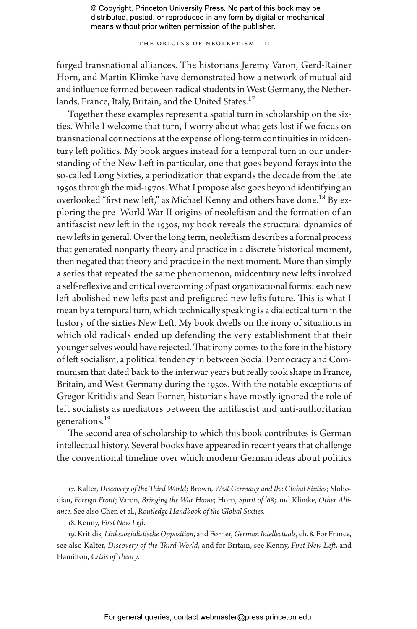THE ORIGINS OF NEOLEFTISM 11

forged transnational alliances. The historians Jeremy Varon, Gerd-Rainer Horn, and Martin Klimke have demonstrated how a network of mutual aid and influence formed between radical students in West Germany, the Netherlands, France, Italy, Britain, and the United States.<sup>17</sup>

Together these examples represent a spatial turn in scholarship on the sixties. While I welcome that turn, I worry about what gets lost if we focus on transnational connections at the expense of long-term continuities in midcentury left politics. My book argues instead for a temporal turn in our understanding of the New Left in particular, one that goes beyond forays into the so-called Long Sixties, a periodization that expands the decade from the late 1950s through the mid-1970s. What I propose also goes beyond identifying an overlooked "first new left," as Michael Kenny and others have done.<sup>18</sup> By exploring the pre–World War II origins of neoleftism and the formation of an antifascist new left in the 1930s, my book reveals the structural dynamics of new lefts in general. Over the long term, neoleftism describes a formal process that generated nonparty theory and practice in a discrete historical moment, then negated that theory and practice in the next moment. More than simply a series that repeated the same phenomenon, midcentury new lefts involved a self-reflexive and critical overcoming of past organizational forms: each new left abolished new lefts past and prefigured new lefts future. This is what I mean by a temporal turn, which technically speaking is a dialectical turn in the history of the sixties New Left. My book dwells on the irony of situations in which old radicals ended up defending the very establishment that their younger selves would have rejected. That irony comes to the fore in the history of left socialism, a political tendency in between Social Democracy and Communism that dated back to the interwar years but really took shape in France, Britain, and West Germany during the 1950s. With the notable exceptions of Gregor Kritidis and Sean Forner, historians have mostly ignored the role of left socialists as mediators between the antifascist and anti-authoritarian generations.<sup>19</sup>

The second area of scholarship to which this book contributes is German intellectual history. Several books have appeared in recent years that challenge the conventional timeline over which modern German ideas about politics

17. Kalter, *Discovery of the Third World*; Brown, *West Germany and the Global Sixties*; Slobodian, *Foreign Front*; Varon, *Bringing the War Home*; Horn, *Spirit of '68*; and Klimke, *Other Alliance*. See also Chen et al., *Routledge Handbook of the Global Sixties*.

18. Kenny, *First New Left*.

19. Kritidis, *Linkssozialistische Opposition*, and Forner, *German Intellectuals*, ch. 8. For France, see also Kalter, *Discovery of the Third World*, and for Britain, see Kenny, *First New Left*, and Hamilton, *Crisis of Theory*.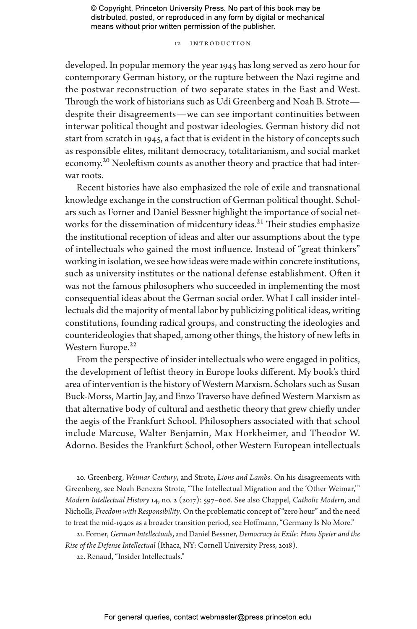# 12 Introduction

developed. In popular memory the year 1945 has long served as zero hour for contemporary German history, or the rupture between the Nazi regime and the postwar reconstruction of two separate states in the East and West. Through the work of historians such as Udi Greenberg and Noah B. Strote despite their disagreements—we can see important continuities between interwar political thought and postwar ideologies. German history did not start from scratch in 1945, a fact that is evident in the history of concepts such as responsible elites, militant democracy, totalitarianism, and social market economy.<sup>20</sup> Neoleftism counts as another theory and practice that had interwar roots.

Recent histories have also emphasized the role of exile and transnational knowledge exchange in the construction of German political thought. Scholars such as Forner and Daniel Bessner highlight the importance of social networks for the dissemination of midcentury ideas.<sup>21</sup> Their studies emphasize the institutional reception of ideas and alter our assumptions about the type of intellectuals who gained the most influence. Instead of "great thinkers" working in isolation, we see how ideas were made within concrete institutions, such as university institutes or the national defense establishment. Often it was not the famous philosophers who succeeded in implementing the most consequential ideas about the German social order. What I call insider intellectuals did the majority of mental labor by publicizing political ideas, writing constitutions, founding radical groups, and constructing the ideologies and counterideologies that shaped, among other things, the history of new lefts in Western Europe.<sup>22</sup>

From the perspective of insider intellectuals who were engaged in politics, the development of leftist theory in Europe looks different. My book's third area of intervention is the history of Western Marxism. Scholars such as Susan Buck-Morss, Martin Jay, and Enzo Traverso have defined Western Marxism as that alternative body of cultural and aesthetic theory that grew chiefly under the aegis of the Frankfurt School. Philosophers associated with that school include Marcuse, Walter Benjamin, Max Horkheimer, and Theodor W. Adorno. Besides the Frankfurt School, other Western European intellectuals

20. Greenberg, *Weimar Century*, and Strote, *Lions and Lambs*. On his disagreements with Greenberg, see Noah Benezra Strote, "The Intellectual Migration and the 'Other Weimar,'" *Modern Intellectual History* 14, no. 2 (2017): 597–606. See also Chappel, *Catholic Modern*, and Nicholls, *Freedom with Responsibility*. On the problematic concept of "zero hour" and the need to treat the mid-1940s as a broader transition period, see Hoffmann, "Germany Is No More."

21. Forner, *German Intellectuals*, and Daniel Bessner, *Democracy in Exile: Hans Speier and the Rise of the Defense Intellectual* (Ithaca, NY: Cornell University Press, 2018).

22. Renaud, "Insider Intellectuals."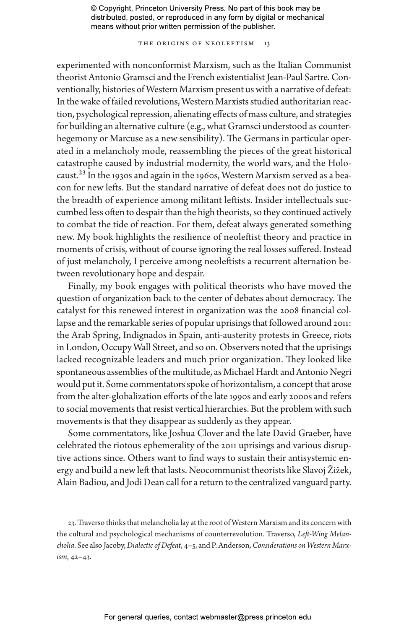THE ORIGINS OF NEOLEFTISM 13

experimented with nonconformist Marxism, such as the Italian Communist theorist Antonio Gramsci and the French existentialist Jean-Paul Sartre. Conventionally, histories of Western Marxism present us with a narrative of defeat: In the wake of failed revolutions, Western Marxists studied authoritarian reaction, psychological repression, alienating effects of mass culture, and strategies for building an alternative culture (e.g., what Gramsci understood as counterhegemony or Marcuse as a new sensibility). The Germans in particular operated in a melancholy mode, reassembling the pieces of the great historical catastrophe caused by industrial modernity, the world wars, and the Holocaust.23 In the 1930s and again in the 1960s, Western Marxism served as a beacon for new lefts. But the standard narrative of defeat does not do justice to the breadth of experience among militant leftists. Insider intellectuals succumbed less often to despair than the high theorists, so they continued actively to combat the tide of reaction. For them, defeat always generated something new. My book highlights the resilience of neoleftist theory and practice in moments of crisis, without of course ignoring the real losses suffered. Instead of just melancholy, I perceive among neoleftists a recurrent alternation between revolutionary hope and despair.

Finally, my book engages with political theorists who have moved the question of organization back to the center of debates about democracy. The catalyst for this renewed interest in organization was the 2008 financial collapse and the remarkable series of popular uprisings that followed around 2011: the Arab Spring, Indignados in Spain, anti-austerity protests in Greece, riots in London, Occupy Wall Street, and so on. Observers noted that the uprisings lacked recognizable leaders and much prior organization. They looked like spontaneous assemblies of the multitude, as Michael Hardt and Antonio Negri would put it. Some commentators spoke of horizontalism, a concept that arose from the alter-globalization efforts of the late 1990s and early 2000s and refers to social movements that resist vertical hierarchies. But the problem with such movements is that they disappear as suddenly as they appear.

Some commentators, like Joshua Clover and the late David Graeber, have celebrated the riotous ephemerality of the 2011 uprisings and various disruptive actions since. Others want to find ways to sustain their antisystemic energy and build a new left that lasts. Neocommunist theorists like Slavoj Žižek, Alain Badiou, and Jodi Dean call for a return to the centralized vanguard party.

23. Traverso thinks that melancholia lay at the root of Western Marxism and its concern with the cultural and psychological mechanisms of counterrevolution. Traverso, *Left-Wing Melancholia*. See also Jacoby, *Dialectic of Defeat*, 4–5, and P. Anderson, *Considerations on Western Marxism*, 42–43.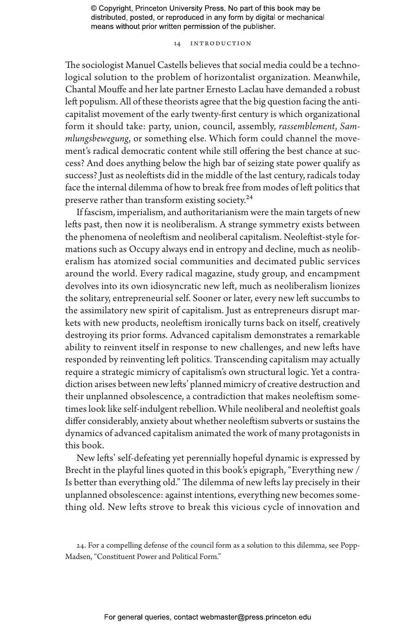# 14 Introduction

The sociologist Manuel Castells believes that social media could be a technological solution to the problem of horizontalist organization. Meanwhile, Chantal Mouffe and her late partner Ernesto Laclau have demanded a robust left populism. All of these theorists agree that the big question facing the anticapitalist movement of the early twenty-first century is which organizational form it should take: party, union, council, assembly, *rassemblement*, *Sammlungsbewegung*, or something else. Which form could channel the movement's radical democratic content while still offering the best chance at success? And does anything below the high bar of seizing state power qualify as success? Just as neoleftists did in the middle of the last century, radicals today face the internal dilemma of how to break free from modes of left politics that preserve rather than transform existing society.<sup>24</sup>

If fascism, imperialism, and authoritarianism were the main targets of new lefts past, then now it is neoliberalism. A strange symmetry exists between the phenomena of neoleftism and neoliberal capitalism. Neoleftist-style formations such as Occupy always end in entropy and decline, much as neoliberalism has atomized social communities and decimated public services around the world. Every radical magazine, study group, and encampment devolves into its own idiosyncratic new left, much as neoliberalism lionizes the solitary, entrepreneurial self. Sooner or later, every new left succumbs to the assimilatory new spirit of capitalism. Just as entrepreneurs disrupt markets with new products, neoleftism ironically turns back on itself, creatively destroying its prior forms. Advanced capitalism demonstrates a remarkable ability to reinvent itself in response to new challenges, and new lefts have responded by reinventing left politics. Transcending capitalism may actually require a strategic mimicry of capitalism's own structural logic. Yet a contradiction arises between new lefts' planned mimicry of creative destruction and their unplanned obsolescence, a contradiction that makes neoleftism sometimes look like self-indulgent rebellion. While neoliberal and neoleftist goals differ considerably, anxiety about whether neoleftism subverts or sustains the dynamics of advanced capitalism animated the work of many protagonists in this book.

New lefts' self-defeating yet perennially hopeful dynamic is expressed by Brecht in the playful lines quoted in this book's epigraph, "Everything new / Is better than everything old." The dilemma of new lefts lay precisely in their unplanned obsolescence: against intentions, everything new becomes something old. New lefts strove to break this vicious cycle of innovation and

<sup>24.</sup> For a compelling defense of the council form as a solution to this dilemma, see Popp-Madsen, "Constituent Power and Political Form."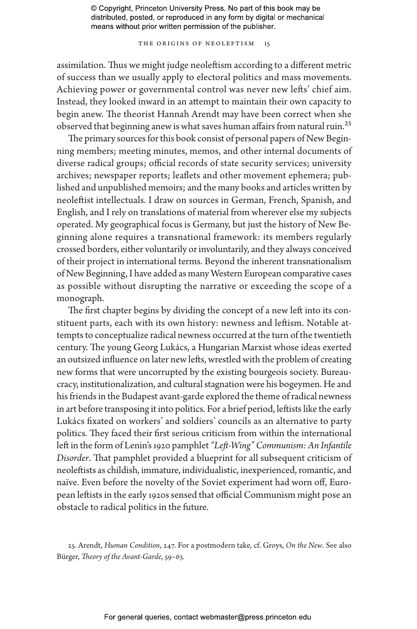THE ORIGINS OF NEOLEFTISM 15

assimilation. Thus we might judge neoleftism according to a different metric of success than we usually apply to electoral politics and mass movements. Achieving power or governmental control was never new lefts' chief aim. Instead, they looked inward in an attempt to maintain their own capacity to begin anew. The theorist Hannah Arendt may have been correct when she observed that beginning anew is what saves human affairs from natural ruin.<sup>25</sup>

The primary sources for this book consist of personal papers of New Beginning members; meeting minutes, memos, and other internal documents of diverse radical groups; official records of state security services; university archives; newspaper reports; leaflets and other movement ephemera; published and unpublished memoirs; and the many books and articles written by neoleftist intellectuals. I draw on sources in German, French, Spanish, and English, and I rely on translations of material from wherever else my subjects operated. My geographical focus is Germany, but just the history of New Beginning alone requires a transnational framework: its members regularly crossed borders, either voluntarily or involuntarily, and they always conceived of their project in international terms. Beyond the inherent transnationalism of New Beginning, I have added as many Western European comparative cases as possible without disrupting the narrative or exceeding the scope of a monograph.

The first chapter begins by dividing the concept of a new left into its constituent parts, each with its own history: newness and leftism. Notable attempts to conceptualize radical newness occurred at the turn of the twentieth century. The young Georg Lukács, a Hungarian Marxist whose ideas exerted an outsized influence on later new lefts, wrestled with the problem of creating new forms that were uncorrupted by the existing bourgeois society. Bureaucracy, institutionalization, and cultural stagnation were his bogeymen. He and his friends in the Budapest avant-garde explored the theme of radical newness in art before transposing it into politics. For a brief period, leftists like the early Lukács fixated on workers' and soldiers' councils as an alternative to party politics. They faced their first serious criticism from within the international left in the form of Lenin's 1920 pamphlet *"Left-Wing" Communism: An Infantile Disorder*. That pamphlet provided a blueprint for all subsequent criticism of neoleftists as childish, immature, individualistic, inexperienced, romantic, and naïve. Even before the novelty of the Soviet experiment had worn off, European leftists in the early 1920s sensed that official Communism might pose an obstacle to radical politics in the future.

<sup>25.</sup> Arendt, *Human Condition*, 247. For a postmodern take, cf. Groys, *On the New*. See also Bürger, *Theory of the Avant-Garde*, 59–63.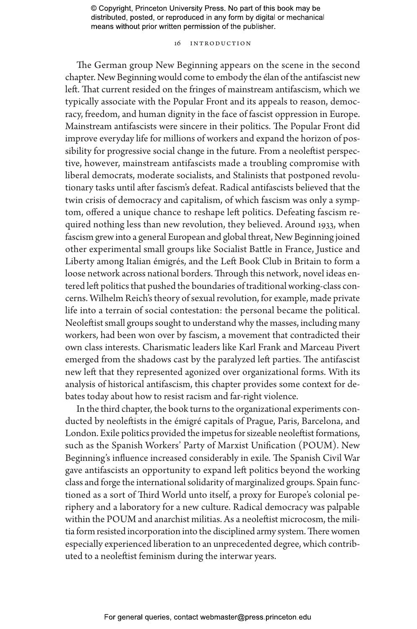# 16 Introduction

The German group New Beginning appears on the scene in the second chapter. New Beginning would come to embody the élan of the antifascist new left. That current resided on the fringes of mainstream antifascism, which we typically associate with the Popular Front and its appeals to reason, democracy, freedom, and human dignity in the face of fascist oppression in Europe. Mainstream antifascists were sincere in their politics. The Popular Front did improve everyday life for millions of workers and expand the horizon of possibility for progressive social change in the future. From a neoleftist perspective, however, mainstream antifascists made a troubling compromise with liberal democrats, moderate socialists, and Stalinists that postponed revolutionary tasks until after fascism's defeat. Radical antifascists believed that the twin crisis of democracy and capitalism, of which fascism was only a symptom, offered a unique chance to reshape left politics. Defeating fascism required nothing less than new revolution, they believed. Around 1933, when fascism grew into a general European and global threat, New Beginning joined other experimental small groups like Socialist Battle in France, Justice and Liberty among Italian émigrés, and the Left Book Club in Britain to form a loose network across national borders. Through this network, novel ideas entered left politics that pushed the boundaries of traditional working-class concerns. Wilhelm Reich's theory of sexual revolution, for example, made private life into a terrain of social contestation: the personal became the political. Neoleftist small groups sought to understand why the masses, including many workers, had been won over by fascism, a movement that contradicted their own class interests. Charismatic leaders like Karl Frank and Marceau Pivert emerged from the shadows cast by the paralyzed left parties. The antifascist new left that they represented agonized over organizational forms. With its analysis of historical antifascism, this chapter provides some context for debates today about how to resist racism and far-right violence.

In the third chapter, the book turns to the organizational experiments conducted by neoleftists in the émigré capitals of Prague, Paris, Barcelona, and London. Exile politics provided the impetus for sizeable neoleftist formations, such as the Spanish Workers' Party of Marxist Unification (POUM). New Beginning's influence increased considerably in exile. The Spanish Civil War gave antifascists an opportunity to expand left politics beyond the working class and forge the international solidarity of marginalized groups. Spain functioned as a sort of Third World unto itself, a proxy for Europe's colonial periphery and a laboratory for a new culture. Radical democracy was palpable within the POUM and anarchist militias. As a neoleftist microcosm, the militia form resisted incorporation into the disciplined army system. There women especially experienced liberation to an unprecedented degree, which contributed to a neoleftist feminism during the interwar years.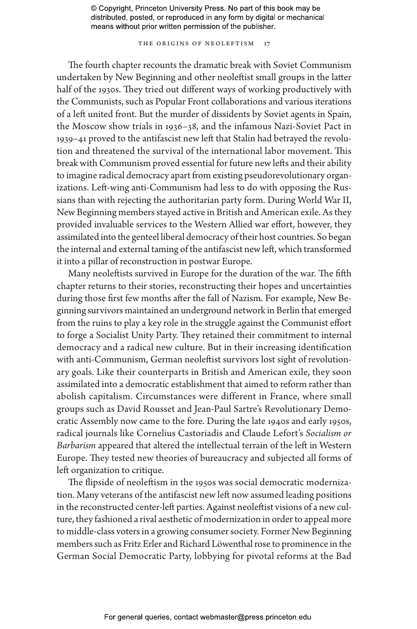THE ORIGINS OF NEOLEFTISM 17

The fourth chapter recounts the dramatic break with Soviet Communism undertaken by New Beginning and other neoleftist small groups in the latter half of the 1930s. They tried out different ways of working productively with the Communists, such as Popular Front collaborations and various iterations of a left united front. But the murder of dissidents by Soviet agents in Spain, the Moscow show trials in 1936–38, and the infamous Nazi-Soviet Pact in 1939–41 proved to the antifascist new left that Stalin had betrayed the revolution and threatened the survival of the international labor movement. This break with Communism proved essential for future new lefts and their ability to imagine radical democracy apart from existing pseudorevolutionary organizations. Left-wing anti-Communism had less to do with opposing the Russians than with rejecting the authoritarian party form. During World War II, New Beginning members stayed active in British and American exile. As they provided invaluable services to the Western Allied war effort, however, they assimilated into the genteel liberal democracy of their host countries. So began the internal and external taming of the antifascist new left, which transformed it into a pillar of reconstruction in postwar Europe.

Many neoleftists survived in Europe for the duration of the war. The fifth chapter returns to their stories, reconstructing their hopes and uncertainties during those first few months after the fall of Nazism. For example, New Beginning survivors maintained an underground network in Berlin that emerged from the ruins to play a key role in the struggle against the Communist effort to forge a Socialist Unity Party. They retained their commitment to internal democracy and a radical new culture. But in their increasing identification with anti-Communism, German neoleftist survivors lost sight of revolutionary goals. Like their counterparts in British and American exile, they soon assimilated into a democratic establishment that aimed to reform rather than abolish capitalism. Circumstances were different in France, where small groups such as David Rousset and Jean-Paul Sartre's Revolutionary Democratic Assembly now came to the fore. During the late 1940s and early 1950s, radical journals like Cornelius Castoriadis and Claude Lefort's *Socialism or Barbarism* appeared that altered the intellectual terrain of the left in Western Europe. They tested new theories of bureaucracy and subjected all forms of left organization to critique.

The flipside of neoleftism in the 1950s was social democratic modernization. Many veterans of the antifascist new left now assumed leading positions in the reconstructed center-left parties. Against neoleftist visions of a new culture, they fashioned a rival aesthetic of modernization in order to appeal more to middle-class voters in a growing consumer society. Former New Beginning members such as Fritz Erler and Richard Löwenthal rose to prominence in the German Social Democratic Party, lobbying for pivotal reforms at the Bad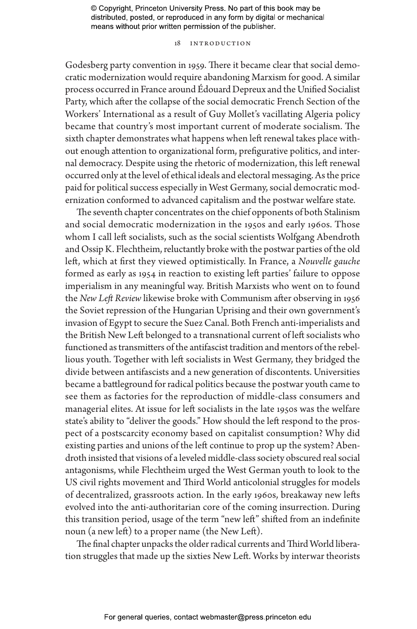# 18 Introduction

Godesberg party convention in 1959. There it became clear that social democratic modernization would require abandoning Marxism for good. A similar process occurred in France around Édouard Depreux and the Unified Socialist Party, which after the collapse of the social democratic French Section of the Workers' International as a result of Guy Mollet's vacillating Algeria policy became that country's most important current of moderate socialism. The sixth chapter demonstrates what happens when left renewal takes place without enough attention to organizational form, prefigurative politics, and internal democracy. Despite using the rhetoric of modernization, this left renewal occurred only at the level of ethical ideals and electoral messaging. As the price paid for political success especially in West Germany, social democratic modernization conformed to advanced capitalism and the postwar welfare state.

The seventh chapter concentrates on the chief opponents of both Stalinism and social democratic modernization in the 1950s and early 1960s. Those whom I call left socialists, such as the social scientists Wolfgang Abendroth and Ossip K. Flechtheim, reluctantly broke with the postwar parties of the old left, which at first they viewed optimistically. In France, a *Nouvelle gauche* formed as early as 1954 in reaction to existing left parties' failure to oppose imperialism in any meaningful way. British Marxists who went on to found the *New Left Review* likewise broke with Communism after observing in 1956 the Soviet repression of the Hungarian Uprising and their own government's invasion of Egypt to secure the Suez Canal. Both French anti-imperialists and the British New Left belonged to a transnational current of left socialists who functioned as transmitters of the antifascist tradition and mentors of the rebellious youth. Together with left socialists in West Germany, they bridged the divide between antifascists and a new generation of discontents. Universities became a battleground for radical politics because the postwar youth came to see them as factories for the reproduction of middle-class consumers and managerial elites. At issue for left socialists in the late 1950s was the welfare state's ability to "deliver the goods." How should the left respond to the prospect of a postscarcity economy based on capitalist consumption? Why did existing parties and unions of the left continue to prop up the system? Abendroth insisted that visions of a leveled middle-class society obscured real social antagonisms, while Flechtheim urged the West German youth to look to the US civil rights movement and Third World anticolonial struggles for models of decentralized, grassroots action. In the early 1960s, breakaway new lefts evolved into the anti-authoritarian core of the coming insurrection. During this transition period, usage of the term "new left" shifted from an indefinite noun (a new left) to a proper name (the New Left).

The final chapter unpacks the older radical currents and Third World liberation struggles that made up the sixties New Left. Works by interwar theorists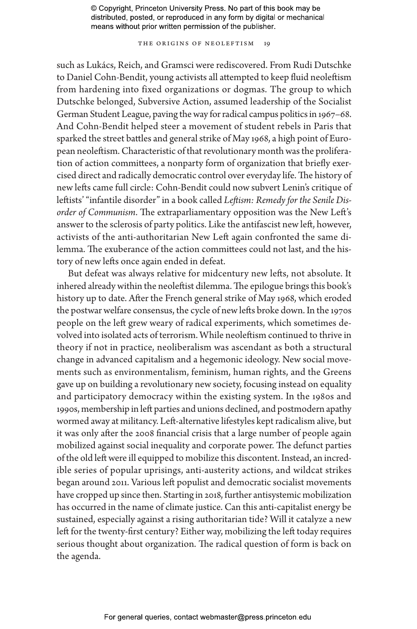THE ORIGINS OF NEOLEFTISM 19

such as Lukács, Reich, and Gramsci were rediscovered. From Rudi Dutschke to Daniel Cohn-Bendit, young activists all attempted to keep fluid neoleftism from hardening into fixed organizations or dogmas. The group to which Dutschke belonged, Subversive Action, assumed leadership of the Socialist German Student League, paving the way for radical campus politics in 1967–68. And Cohn-Bendit helped steer a movement of student rebels in Paris that sparked the street battles and general strike of May 1968, a high point of European neoleftism. Characteristic of that revolutionary month was the proliferation of action committees, a nonparty form of organization that briefly exercised direct and radically democratic control over everyday life. The history of new lefts came full circle: Cohn-Bendit could now subvert Lenin's critique of leftists' "infantile disorder" in a book called *Leftism: Remedy for the Senile Disorder of Communism*. The extraparliamentary opposition was the New Left's answer to the sclerosis of party politics. Like the antifascist new left, however, activists of the anti-authoritarian New Left again confronted the same dilemma. The exuberance of the action committees could not last, and the history of new lefts once again ended in defeat.

But defeat was always relative for midcentury new lefts, not absolute. It inhered already within the neoleftist dilemma. The epilogue brings this book's history up to date. After the French general strike of May 1968, which eroded the postwar welfare consensus, the cycle of new lefts broke down. In the 1970s people on the left grew weary of radical experiments, which sometimes devolved into isolated acts of terrorism. While neoleftism continued to thrive in theory if not in practice, neoliberalism was ascendant as both a structural change in advanced capitalism and a hegemonic ideology. New social movements such as environmentalism, feminism, human rights, and the Greens gave up on building a revolutionary new society, focusing instead on equality and participatory democracy within the existing system. In the 1980s and 1990s, membership in left parties and unions declined, and postmodern apathy wormed away at militancy. Left-alternative lifestyles kept radicalism alive, but it was only after the 2008 financial crisis that a large number of people again mobilized against social inequality and corporate power. The defunct parties of the old left were ill equipped to mobilize this discontent. Instead, an incredible series of popular uprisings, anti-austerity actions, and wildcat strikes began around 2011. Various left populist and democratic socialist movements have cropped up since then. Starting in 2018, further antisystemic mobilization has occurred in the name of climate justice. Can this anti-capitalist energy be sustained, especially against a rising authoritarian tide? Will it catalyze a new left for the twenty-first century? Either way, mobilizing the left today requires serious thought about organization. The radical question of form is back on the agenda.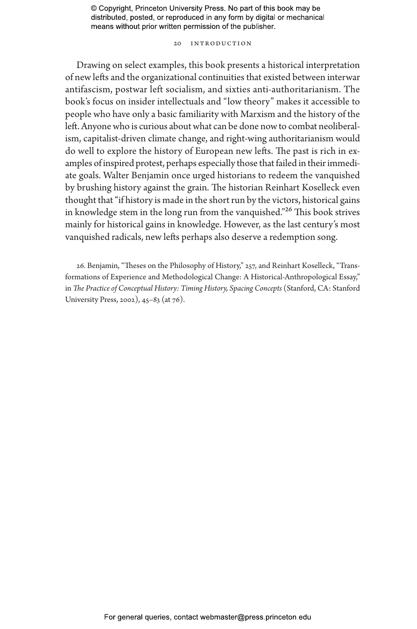20 Introduction

Drawing on select examples, this book presents a historical interpretation of new lefts and the organizational continuities that existed between interwar antifascism, postwar left socialism, and sixties anti-authoritarianism. The book's focus on insider intellectuals and "low theory" makes it accessible to people who have only a basic familiarity with Marxism and the history of the left. Anyone who is curious about what can be done now to combat neoliberalism, capitalist-driven climate change, and right-wing authoritarianism would do well to explore the history of European new lefts. The past is rich in examples of inspired protest, perhaps especially those that failed in their immediate goals. Walter Benjamin once urged historians to redeem the vanquished by brushing history against the grain. The historian Reinhart Koselleck even thought that "if history is made in the short run by the victors, historical gains in knowledge stem in the long run from the vanquished."26 This book strives mainly for historical gains in knowledge. However, as the last century's most vanquished radicals, new lefts perhaps also deserve a redemption song.

26. Benjamin, "Theses on the Philosophy of History," 257, and Reinhart Koselleck, "Transformations of Experience and Methodological Change: A Historical-Anthropological Essay," in *The Practice of Conceptual History: Timing History, Spacing Concepts* (Stanford, CA: Stanford University Press, 2002), 45–83 (at 76).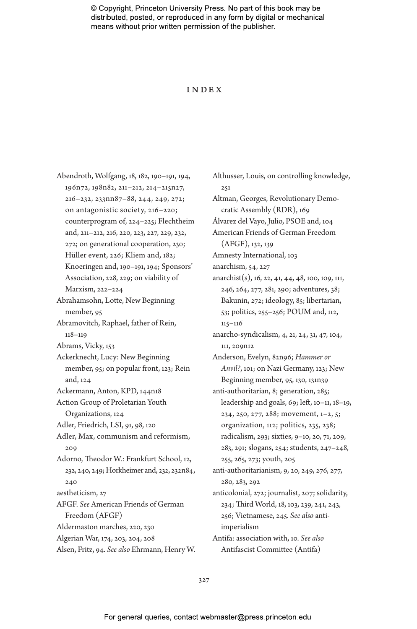#### **INDEX**

| Abendroth, Wolfgang, 18, 182, 190-191, 194,  |  |
|----------------------------------------------|--|
| 196n72, 198n82, 211-212, 214-215n27,         |  |
| 216-232, 233nn87-88, 244, 249, 272;          |  |
| on antagonistic society, 216-220;            |  |
| counterprogram of, 224-225; Flechtheim       |  |
| and, 211-212, 216, 220, 223, 227, 229, 232,  |  |
| 272; on generational cooperation, 230;       |  |
| Hüller event, 226; Kliem and, 182;           |  |
| Knoeringen and, 190-191, 194; Sponsors'      |  |
| Association, 228, 229; on viability of       |  |
| Marxism, 222-224                             |  |
| Abrahamsohn, Lotte, New Beginning            |  |
| member, 95                                   |  |
| Abramovitch, Raphael, father of Rein,        |  |
| $118 - 119$                                  |  |
| Abrams, Vicky, 153                           |  |
| Ackerknecht, Lucy: New Beginning             |  |
| member, 95; on popular front, 123; Rein      |  |
| and, 124                                     |  |
| Ackermann, Anton, KPD, 144n18                |  |
| Action Group of Proletarian Youth            |  |
| Organizations, 124                           |  |
| Adler, Friedrich, LSI, 91, 98, 120           |  |
| Adler, Max, communism and reformism,         |  |
| 209                                          |  |
| Adorno, Theodor W.: Frankfurt School, 12,    |  |
| 232, 240, 249; Horkheimer and, 232, 232n84,  |  |
| 240                                          |  |
| aestheticism, 27                             |  |
| AFGF. See American Friends of German         |  |
| Freedom (AFGF)                               |  |
| Aldermaston marches, 220, 230                |  |
| Algerian War, 174, 203, 204, 208             |  |
| Alsen, Fritz, 94. See also Ehrmann, Henry W. |  |

Althusser, Louis, on controlling knowledge,  $2.51$ Altman, Georges, Revolutionary Democratic Assembly (RDR), 169 Álvarez del Vayo, Julio, PSOE and, 104 American Friends of German Freedom (AFGF), 132, 139 Amnesty International, 103 anarchism, 54, 227 anarchist(s), 16, 22, 41, 44, 48, 100, 109, 111, 246, 264, 277, 281, 290; adventures, 38; Bakunin, 272; ideology, 85; libertarian, 53; politics, 255–256; POUM and, 112, 115–116 anarcho-syndicalism, 4, 21, 24, 31, 47, 104, 111, 209n12 Anderson, Evelyn, 82n96; *Hammer or Anvil?*, 101; on Nazi Germany, 123; New Beginning member, 95, 130, 131n39 anti-authoritarian, 8; generation, 285; leadership and goals, 69; left, 10–11, 18–19, 234, 250, 277, 288; movement, 1–2, 5; organization, 112; politics, 235, 238; radicalism, 293; sixties, 9–10, 20, 71, 209, 283, 291; slogans, 254; students, 247–248, 255, 265, 273; youth, 205 anti-authoritarianism, 9, 20, 249, 276, 277, 280, 283, 292 anticolonial, 272; journalist, 207; solidarity, 234; Third World, 18, 103, 239, 241, 243, 256; Vietnamese, 245. *See also* antiimperialism Antifa: association with, 10. *See also* Antifascist Committee (Antifa)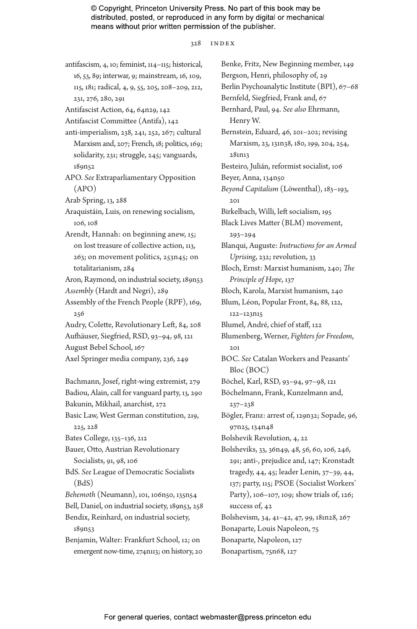328 INDEX

antifascism, 4, 10; feminist, 114–115; historical, 16, 53, 89; interwar, 9; mainstream, 16, 109, 115, 181; radical, 4, 9, 55, 205, 208–209, 212, 231, 276, 280, 291 Antifascist Action, 64, 64n29, 142 Antifascist Committee (Antifa), 142 anti-imperialism, 238, 241, 252, 267; cultural Marxism and, 207; French, 18; politics, 169; solidarity, 231; struggle, 245; vanguards, 189n52 APO. *See* Extraparliamentary Opposition (APO) Arab Spring, 13, 288 Araquistáin, Luis, on renewing socialism, 106, 108 Arendt, Hannah: on beginning anew, 15; on lost treasure of collective action, 113, 263; on movement politics, 253n45; on totalitarianism, 284 Aron, Raymond, on industrial society, 189n53 *Assembly* (Hardt and Negri), 289 Assembly of the French People (RPF), 169, 256 Audry, Colette, Revolutionary Left, 84, 208 Aufhäuser, Siegfried, RSD, 93–94, 98, 121 August Bebel School, 167 Axel Springer media company, 236, 249 Bachmann, Josef, right-wing extremist, 279 Badiou, Alain, call for vanguard party, 13, 290 Bakunin, Mikhail, anarchist, 272 Basic Law, West German constitution, 219, 225, 228 Bates College, 135–136, 212 Bauer, Otto, Austrian Revolutionary Socialists, 91, 98, 106 BdS. *See* League of Democratic Socialists (BdS) *Behemoth* (Neumann), 101, 106n50, 135n54 Bell, Daniel, on industrial society, 189n53, 258 Bendix, Reinhard, on industrial society, 189n53 Benjamin, Walter: Frankfurt School, 12; on emergent now-time, 274n113; on history, 20

Benke, Fritz, New Beginning member, 149 Bergson, Henri, philosophy of, 29 Berlin Psychoanalytic Institute (BPI), 67–68 Bernfeld, Siegfried, Frank and, 67 Bernhard, Paul, 94. *See also* Ehrmann, Henry W. Bernstein, Eduard, 46, 201–202; revising Marxism, 23, 131n38, 180, 199, 204, 254, 281n13 Besteiro, Julián, reformist socialist, 106 Beyer, Anna, 134n50 *Beyond Capitalism* (Löwenthal), 183–193,  $201$ Birkelbach, Willi, left socialism, 195 Black Lives Matter (BLM) movement, 293–294 Blanqui, Auguste: *Instructions for an Armed Uprising*, 232; revolution, 33 Bloch, Ernst: Marxist humanism, 240; *The Principle of Hope*, 137 Bloch, Karola, Marxist humanism, 240 Blum, Léon, Popular Front, 84, 88, 122, 122–123n15 Blumel, André, chief of staff, 122 Blumenberg, Werner, *Fighters for Freedom*,  $201$ BOC. *See* Catalan Workers and Peasants' Bloc (BOC) Böchel, Karl, RSD, 93–94, 97–98, 121 Böchelmann, Frank, Kunzelmann and, 237–238 Bögler, Franz: arrest of, 129n32; Sopade, 96, 97n25, 134n48 Bolshevik Revolution, 4, 22 Bolsheviks, 33, 36n49, 48, 56, 60, 106, 246, 291; anti-, prejudice and, 147; Kronstadt tragedy, 44, 45; leader Lenin, 37–39, 44, 137; party, 115; PSOE (Socialist Workers' Party), 106–107, 109; show trials of, 126; success of, 42 Bolshevism, 34, 41–42, 47, 99, 181n28, 267 Bonaparte, Louis Napoleon, 75 Bonaparte, Napoleon, 127 Bonapartism, 75n68, 127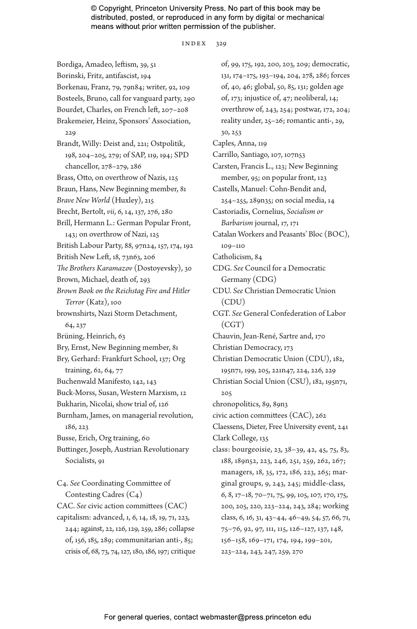index 329

Bordiga, Amadeo, leftism, 39, 51 Borinski, Fritz, antifascist, 194 Borkenau, Franz, 79, 79n84; writer, 92, 109 Bosteels, Bruno, call for vanguard party, 290 Bourdet, Charles, on French left, 207–208 Brakemeier, Heinz, Sponsors' Association, 229 Brandt, Willy: Deist and, 221; Ostpolitik, 198, 204–205, 279; of SAP, 119, 194; SPD chancellor, 278–279, 286 Brass, Otto, on overthrow of Nazis, 125 Braun, Hans, New Beginning member, 81 *Brave New World* (Huxley), 215 Brecht, Bertolt, *vii*, 6, 14, 137, 276, 280 Brill, Hermann L.: German Popular Front, 143; on overthrow of Nazi, 125 British Labour Party, 88, 97n24, 157, 174, 192 British New Left, 18, 73n63, 206 *The Brothers Karamazov* (Dostoyevsky), 30 Brown, Michael, death of, 293 *Brown Book on the Reichstag Fire and Hitler Terror* (Katz), 100 brownshirts, Nazi Storm Detachment, 64, 237 Brüning, Heinrich, 63 Bry, Ernst, New Beginning member, 81 Bry, Gerhard: Frankfurt School, 137; Org training, 62, 64, 77 Buchenwald Manifesto, 142, 143 Buck-Morss, Susan, Western Marxism, 12 Bukharin, Nicolai, show trial of, 126 Burnham, James, on managerial revolution, 186, 223 Busse, Erich, Org training, 60 Buttinger, Joseph, Austrian Revolutionary Socialists, 91 C4. *See* Coordinating Committee of Contesting Cadres (C4) CAC. *See* civic action committees (CAC) capitalism: advanced, 1, 6, 14, 18, 19, 71, 223, 244; against, 22, 126, 129, 259, 286; collapse of, 156, 185, 289; communitarian anti-, 85;

crisis of, 68, 73, 74, 127, 180, 186, 197; critique

of, 99, 175, 192, 200, 203, 209; democratic, 131, 174–175, 193–194, 204, 278, 286; forces of, 40, 46; global, 50, 85, 131; golden age of, 173; injustice of, 47; neoliberal, 14; overthrow of, 243, 254; postwar, 172, 204; reality under, 25–26; romantic anti-, 29, 30, 253 Caples, Anna, 119 Carrillo, Santiago, 107, 107n53 Carsten, Francis L., 123; New Beginning member, 95; on popular front, 123 Castells, Manuel: Cohn-Bendit and, 254–255, 289n35; on social media, 14 Castoriadis, Cornelius, *Socialism or Barbarism* journal, 17, 171 Catalan Workers and Peasants' Bloc (BOC), 109–110 Catholicism, 84 CDG. *See* Council for a Democratic Germany (CDG) CDU. *See* Christian Democratic Union (CDU) CGT. *See* General Confederation of Labor (CGT) Chauvin, Jean-René, Sartre and, 170 Christian Democracy, 173 Christian Democratic Union (CDU), 182, 195n71, 199, 205, 221n47, 224, 226, 229 Christian Social Union (CSU), 182, 195n71, 205 chronopolitics, 89, 89n3 civic action committees (CAC), 262 Claessens, Dieter, Free University event, 241 Clark College, 135 class: bourgeoisie, 23, 38–39, 42, 45, 75, 83, 188, 189n52, 223, 246, 251, 259, 262, 267; managers, 18, 35, 172, 186, 223, 265; marginal groups, 9, 243, 245; middle-class, 6, 8, 17–18, 70–71, 75, 99, 105, 107, 170, 175, 200, 205, 220, 223–224, 243, 284; working class, 6, 16, 31, 43–44, 46–49, 54, 57, 66, 71, 75–76, 92, 97, 111, 115, 126–127, 137, 148, 156–158, 169–171, 174, 194, 199–201, 223–224, 243, 247, 259, 270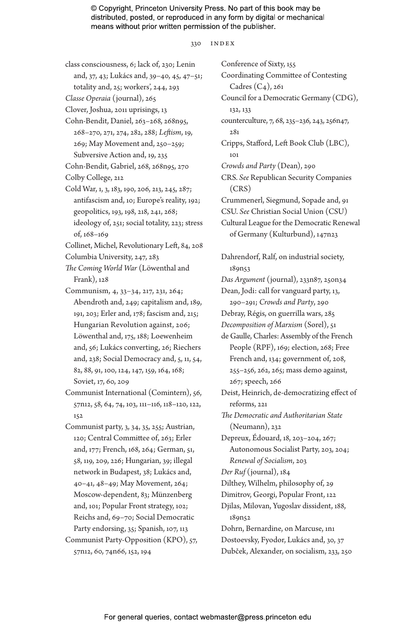#### 330 INDEX

class consciousness, 6; lack of, 230; Lenin and, 37, 43; Lukács and, 39–40, 45, 47–51; totality and, 25; workers', 244, 293

*Classe Operaia* (journal), 265

Clover, Joshua, 2011 uprisings, 13

- Cohn-Bendit, Daniel, 263–268, 268n95, 268–270, 271, 274, 282, 288; *Leftism*, 19, 269; May Movement and, 250–259; Subversive Action and, 19, 235
- Cohn-Bendit, Gabriel, 268, 268n95, 270 Colby College, 212
- Cold War, 1, 3, 183, 190, 206, 213, 245, 287; antifascism and, 10; Europe's reality, 192; geopolitics, 193, 198, 218, 241, 268; ideology of, 251; social totality, 223; stress of, 168–169

Collinet, Michel, Revolutionary Left, 84, 208

- Columbia University, 247, 283
- *The Coming World War* (Löwenthal and Frank), 128
- Communism, 4, 33–34, 217, 231, 264; Abendroth and, 249; capitalism and, 189, 191, 203; Erler and, 178; fascism and, 215; Hungarian Revolution against, 206; Löwenthal and, 175, 188; Loewenheim and, 56; Lukács converting, 26; Riechers and, 238; Social Democracy and, 5, 11, 54, 82, 88, 91, 100, 124, 147, 159, 164, 168; Soviet, 17, 60, 209
- Communist International (Comintern), 56, 57n12, 58, 64, 74, 103, 111–116, 118–120, 122, 152
- Communist party, 3, 34, 35, 255; Austrian, 120; Central Committee of, 263; Erler and, 177; French, 168, 264; German, 51, 58, 119, 209, 226; Hungarian, 39; illegal network in Budapest, 38; Lukács and, 40–41, 48–49; May Movement, 264; Moscow-dependent, 83; Münzenberg and, 101; Popular Front strategy, 102; Reichs and, 69–70; Social Democratic Party endorsing, 35; Spanish, 107, 113 Communist Party-Opposition (KPO), 57, 57n12, 60, 74n66, 152, 194

Conference of Sixty, 155 Coordinating Committee of Contesting Cadres (C4), 261 Council for a Democratic Germany (CDG), 132, 133 counterculture, 7, 68, 235–236, 243, 256n47, 281 Cripps, Stafford, Left Book Club (LBC), 101 *Crowds and Party* (Dean), 290 CRS. *See* Republican Security Companies (CRS) Crummenerl, Siegmund, Sopade and, 91 CSU. *See* Christian Social Union (CSU) Cultural League for the Democratic Renewal of Germany (Kulturbund), 147n23 Dahrendorf, Ralf, on industrial society, 189n53 *Das Argument* (journal), 233n87, 250n34 Dean, Jodi: call for vanguard party, 13, 290–291; *Crowds and Party*, 290 Debray, Régis, on guerrilla wars, 285 *Decomposition of Marxism* (Sorel), 51 de Gaulle, Charles: Assembly of the French People (RPF), 169; election, 268; Free French and, 134; government of, 208, 255–256, 262, 265; mass demo against, 267; speech, 266 Deist, Heinrich, de-democratizing effect of reforms, 221 *The Democratic and Authoritarian State* (Neumann), 232 Depreux, Édouard, 18, 203–204, 267; Autonomous Socialist Party, 203, 204; *Renewal of Socialism*, 203 *Der Ruf* (journal), 184 Dilthey, Wilhelm, philosophy of, 29 Dimitrov, Georgi, Popular Front, 122 Djilas, Milovan, Yugoslav dissident, 188, 189n52 Dohrn, Bernardine, on Marcuse, 1n1 Dostoevsky, Fyodor, Lukács and, 30, 37 Dubček, Alexander, on socialism, 233, 250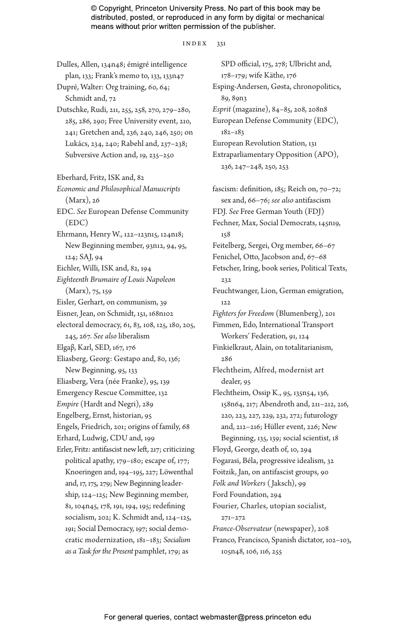#### index 331

plan, 133; Frank's memo to, 133, 133n47 Dupré, Walter: Org training, 60, 64; Schmidt and, 72 Dutschke, Rudi, 211, 255, 258, 270, 279–280, 285, 286, 290; Free University event, 210, 241; Gretchen and, 236, 240, 246, 250; on Lukács, 234, 240; Rabehl and, 237–238; Subversive Action and, 19, 235–250 Eberhard, Fritz, ISK and, 82 *Economic and Philosophical Manuscripts* (Marx), 26 EDC. *See* European Defense Community (EDC) Ehrmann, Henry W., 122–123n15, 124n18; New Beginning member, 93n12, 94, 95, 124; SAJ, 94 Eichler, Willi, ISK and, 82, 194 *Eighteenth Brumaire of Louis Napoleon* (Marx), 75, 159 Eisler, Gerhart, on communism, 39 Eisner, Jean, on Schmidt, 151, 168n102 electoral democracy, 61, 83, 108, 125, 180, 205, 245, 267. *See also* liberalism Elgaβ, Karl, SED, 167, 176 Eliasberg, Georg: Gestapo and, 80, 136; New Beginning, 95, 133 Eliasberg, Vera (née Franke), 95, 139 Emergency Rescue Committee, 132 *Empire* (Hardt and Negri), 289 Engelberg, Ernst, historian, 95 Engels, Friedrich, 201; origins of family, 68 Erhard, Ludwig, CDU and, 199 Erler, Fritz: antifascist new left, 217; criticizing political apathy, 179–180; escape of, 177; Knoeringen and, 194–195, 227; Löwenthal and, 17, 175, 279; New Beginning leadership, 124–125; New Beginning member, 81, 104n45, 178, 191, 194, 195; redefining socialism, 202; K. Schmidt and, 124–125, 191; Social Democracy, 197; social democratic modernization, 181–183; *Socialism as a Task for the Present* pamphlet, 179; as

Dulles, Allen, 134n48; émigré intelligence

SPD official, 175, 278; Ulbricht and, 178–179; wife Käthe, 176 Esping-Andersen, Gøsta, chronopolitics, 89, 89n3 *Esprit* (magazine), 84–85, 208, 208n8 European Defense Community (EDC), 182–183 European Revolution Station, 131 Extraparliamentary Opposition (APO), 236, 247–248, 250, 253

fascism: definition, 185; Reich on, 70–72; sex and, 66–76; *see also* antifascism FDJ. *See* Free German Youth (FDJ) Fechner, Max, Social Democrats, 145n19, 158 Feitelberg, Sergei, Org member, 66–67 Fenichel, Otto, Jacobson and, 67–68 Fetscher, Iring, book series, Political Texts, 232 Feuchtwanger, Lion, German emigration, 122 *Fighters for Freedom* (Blumenberg), 201 Fimmen, Edo, International Transport Workers' Federation, 91, 124 Finkielkraut, Alain, on totalitarianism, 286 Flechtheim, Alfred, modernist art dealer, 95 Flechtheim, Ossip K., 95, 135n54, 136, 158n64, 217; Abendroth and, 211–212, 216, 220, 223, 227, 229, 232, 272; futurology and, 212–216; Hüller event, 226; New Beginning, 135, 139; social scientist, 18 Floyd, George, death of, 10, 294 Fogarasi, Béla, progressive idealism, 32 Foitzik, Jan, on antifascist groups, 90 *Folk and Workers* ( Jaksch), 99 Ford Foundation, 294 Fourier, Charles, utopian socialist, 271–272 *France-Observateur* (newspaper), 208 Franco, Francisco, Spanish dictator, 102–103, 105n48, 106, 116, 255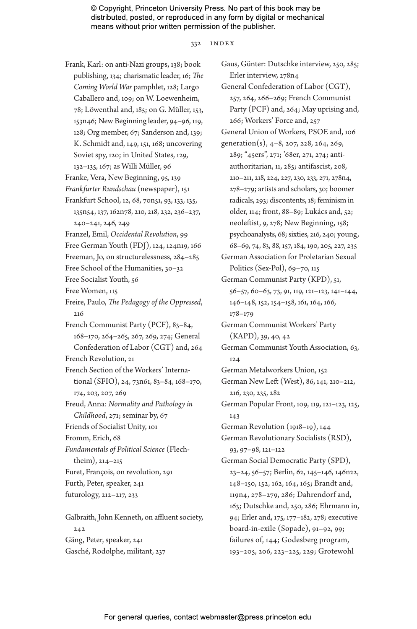332 INDEX

Frank, Karl: on anti-Nazi groups, 138; book publishing, 134; charismatic leader, 16; *The Coming World War* pamphlet, 128; Largo Caballero and, 109; on W. Loewenheim, 78; Löwenthal and, 185; on G. Müller, 153, 153n46; New Beginning leader, 94–96, 119, 128; Org member, 67; Sanderson and, 139; K. Schmidt and, 149, 151, 168; uncovering Soviet spy, 120; in United States, 129, 132–135, 167; as Willi Müller, 96 Franke, Vera, New Beginning, 95, 139 *Frankfurter Rundschau* (newspaper), 151 Frankfurt School, 12, 68, 70n51, 93, 133, 135, 135n54, 137, 162n78, 210, 218, 232, 236–237, 240–241, 246, 249 Franzel, Emil, *Occidental Revolution*, 99 Free German Youth (FDJ), 124, 124n19, 166 Freeman, Jo, on structurelessness, 284–285 Free School of the Humanities, 30–32 Free Socialist Youth, 56 Free Women, 115 Freire, Paulo, *The Pedagogy of the Oppressed*, 216 French Communist Party (PCF), 83–84, 168–170, 264–265, 267, 269, 274; General Confederation of Labor (CGT) and, 264 French Revolution, 21 French Section of the Workers' International (SFIO), 24, 73n61, 83–84, 168–170, 174, 203, 207, 269 Freud, Anna: *Normality and Pathology in Childhood*, 271; seminar by, 67 Friends of Socialist Unity, 101 Fromm, Erich, 68 *Fundamentals of Political Science* (Flechtheim), 214–215 Furet, François, on revolution, 291 Furth, Peter, speaker, 241 futurology, 212–217, 233 Galbraith, John Kenneth, on affluent society, 242 Gäng, Peter, speaker, 241

Gaus, Günter: Dutschke interview, 250, 285; Erler interview, 278n4 General Confederation of Labor (CGT), 257, 264, 266–269; French Communist Party (PCF) and, 264; May uprising and, 266; Workers' Force and, 257 General Union of Workers, PSOE and, 106 generation(s),  $4-8$ , 207, 228, 264, 269, 289; "45ers", 271; '68er, 271, 274; antiauthoritarian, 11, 285; antifascist, 208, 210–211, 218, 224, 227, 230, 233, 271, 278n4, 278–279; artists and scholars, 30; boomer radicals, 293; discontents, 18; feminism in older, 114; front, 88–89; Lukács and, 52; neoleftist, 9, 278; New Beginning, 158; psychoanalysts, 68; sixties, 216, 240; young, 68–69, 74, 83, 88, 157, 184, 190, 205, 227, 235 German Association for Proletarian Sexual Politics (Sex-Pol), 69–70, 115 German Communist Party (KPD), 51, 56–57, 60–63, 73, 91, 119, 121–123, 141–144, 146–148, 152, 154–158, 161, 164, 166, 178–179 German Communist Workers' Party (KAPD), 39, 40, 42 German Communist Youth Association, 63, 124 German Metalworkers Union, 152 German New Left (West), 86, 141, 210–212, 216, 230, 235, 282 German Popular Front, 109, 119, 121–123, 125, 143 German Revolution (1918–19), 144 German Revolutionary Socialists (RSD), 93, 97–98, 121–122 German Social Democratic Party (SPD), 23–24, 56–57; Berlin, 62, 145–146, 146n22, 148–150, 152, 162, 164, 165; Brandt and, 119n4, 278–279, 286; Dahrendorf and, 163; Dutschke and, 250, 286; Ehrmann in, 94; Erler and, 175, 177–182, 278; executive board-in-exile (Sopade), 91–92, 99; failures of, 144; Godesberg program, 193–205, 206, 223–225, 229; Grotewohl

Gasché, Rodolphe, militant, 237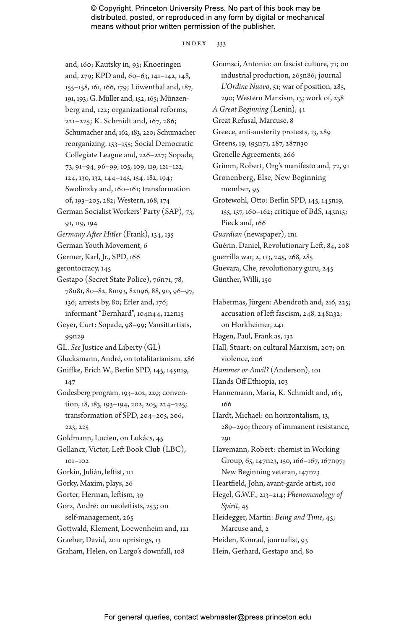#### index 333

and, 160; Kautsky in, 93; Knoeringen and, 279; KPD and, 60–63, 141–142, 148, 155–158, 161, 166, 179; Löwenthal and, 187, 191, 193; G. Müller and, 152, 165; Münzenberg and, 122; organizational reforms, 221–225; K. Schmidt and, 167, 286; Schumacher and, 162, 183, 220; Schumacher reorganizing, 153–155; Social Democratic Collegiate League and, 226–227; Sopade, 73, 91–94, 96–99, 105, 109, 119, 121–122, 124, 130, 132, 144–145, 154, 182, 194; Swolinzky and, 160–161; transformation of, 193–205, 282; Western, 168, 174 German Socialist Workers' Party (SAP), 73, 91, 119, 194 *Germany After Hitler* (Frank), 134, 135 German Youth Movement, 6 Germer, Karl, Jr., SPD, 166 gerontocracy, 145 Gestapo (Secret State Police), 76n71, 78, 78n81, 80–82, 81n93, 82n96, 88, 90, 96–97, 136; arrests by, 80; Erler and, 176; informant "Bernhard", 104n44, 122n15 Geyer, Curt: Sopade, 98–99; Vansittartists, 99n29 GL. *See* Justice and Liberty (GL) Glucksmann, André, on totalitarianism, 286 Gniffke, Erich W., Berlin SPD, 145, 145n19, 147 Godesberg program, 193–202, 229; convention, 18, 183, 193–194, 202, 205, 224–225; transformation of SPD, 204–205, 206, 223, 225 Goldmann, Lucien, on Lukács, 45 Gollancz, Victor, Left Book Club (LBC), 101–102 Gorkin, Julián, leftist, 111 Gorky, Maxim, plays, 26 Gorter, Herman, leftism, 39 Gorz, André: on neoleftists, 253; on self-management, 265 Gottwald, Klement, Loewenheim and, 121 Graeber, David, 2011 uprisings, 13 Graham, Helen, on Largo's downfall, 108

Gramsci, Antonio: on fascist culture, 71; on industrial production, 265n86; journal *L'Ordine Nuovo*, 51; war of position, 285, 290; Western Marxism, 13; work of, 238 *A Great Beginning* (Lenin), 41 Great Refusal, Marcuse, 8 Greece, anti-austerity protests, 13, 289 Greens, 19, 195n71, 287, 287n30 Grenelle Agreements, 266 Grimm, Robert, Org's manifesto and, 72, 91 Gronenberg, Else, New Beginning member, 95 Grotewohl, Otto: Berlin SPD, 145, 145n19, 155, 157, 160–162; critique of BdS, 143n15; Pieck and, 166 *Guardian* (newspaper), 1n1 Guérin, Daniel, Revolutionary Left, 84, 208 guerrilla war, 2, 113, 245, 268, 285 Guevara, Che, revolutionary guru, 245 Günther, Willi, 150

Habermas, Jürgen: Abendroth and, 216, 225; accusation of left fascism, 248, 248n32; on Horkheimer, 241 Hagen, Paul, Frank as, 132 Hall, Stuart: on cultural Marxism, 207; on violence, 206 *Hammer or Anvil?* (Anderson), 101 Hands Off Ethiopia, 103 Hannemann, Maria, K. Schmidt and, 163, 166 Hardt, Michael: on horizontalism, 13, 289–290; theory of immanent resistance, 291 Havemann, Robert: chemist in Working Group, 65, 147n23, 150, 166–167, 167n97; New Beginning veteran, 147n23 Heartfield, John, avant-garde artist, 100 Hegel, G.W.F., 213–214; *Phenomenology of Spirit*, 45 Heidegger, Martin: *Being and Time*, 45; Marcuse and, 2 Heiden, Konrad, journalist, 93 Hein, Gerhard, Gestapo and, 80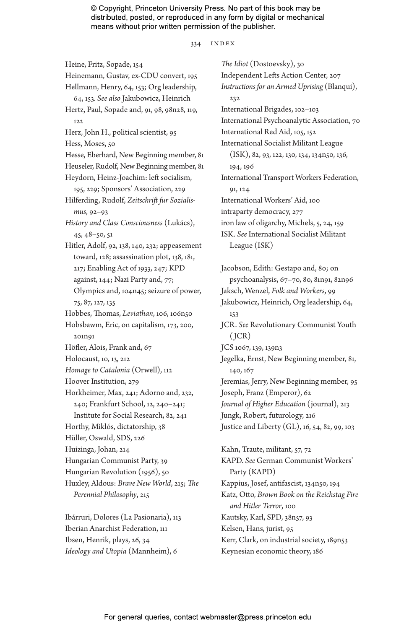334 INDEX

Heine, Fritz, Sopade, 154 Heinemann, Gustav, ex-CDU convert, 195 Hellmann, Henry, 64, 153; Org leadership, 64, 153. *See also* Jakubowicz, Heinrich Hertz, Paul, Sopade and, 91, 98, 98n28, 119, 122 Herz, John H., political scientist, 95 Hess, Moses, 50 Hesse, Eberhard, New Beginning member, 81 Heuseler, Rudolf, New Beginning member, 81 Heydorn, Heinz-Joachim: left socialism, 195, 229; Sponsors' Association, 229 Hilferding, Rudolf, *Zeitschrift fur Sozialismus*, 92–93 *History and Class Consciousness* (Lukács), 45, 48–50, 51 Hitler, Adolf, 92, 138, 140, 232; appeasement toward, 128; assassination plot, 138, 181, 217; Enabling Act of 1933, 247; KPD against, 144; Nazi Party and, 77; Olympics and, 104n45; seizure of power, 75, 87, 127, 135 Hobbes, Thomas, *Leviathan*, 106, 106n50 Hobsbawm, Eric, on capitalism, 173, 200, 201n91 Höfler, Alois, Frank and, 67 Holocaust, 10, 13, 212 *Homage to Catalonia* (Orwell), 112 Hoover Institution, 279 Horkheimer, Max, 241; Adorno and, 232, 240; Frankfurt School, 12, 240–241; Institute for Social Research, 82, 241 Horthy, Miklós, dictatorship, 38 Hüller, Oswald, SDS, 226 Huizinga, Johan, 214 Hungarian Communist Party, 39 Hungarian Revolution (1956), 50 Huxley, Aldous: *Brave New World*, 215; *The Perennial Philosophy*, 215

Ibárruri, Dolores (La Pasionaria), 113 Iberian Anarchist Federation, 111 Ibsen, Henrik, plays, 26, 34 *Ideology and Utopia* (Mannheim), 6

*The Idiot* (Dostoevsky), 30 Independent Lefts Action Center, 207 *Instructions for an Armed Uprising* (Blanqui), 232 International Brigades, 102–103 International Psychoanalytic Association, 70 International Red Aid, 105, 152 International Socialist Militant League (ISK), 82, 93, 122, 130, 134, 134n50, 136, 194, 196 International Transport Workers Federation, 91, 124 International Workers' Aid, 100 intraparty democracy, 277 iron law of oligarchy, Michels, 5, 24, 159 ISK. *See* International Socialist Militant League (ISK)

Jacobson, Edith: Gestapo and, 80; on psychoanalysis, 67–70, 80, 81n91, 82n96 Jaksch, Wenzel, *Folk and Workers*, 99 Jakubowicz, Heinrich, Org leadership, 64, 153 JCR. *See* Revolutionary Communist Youth  $(ICR)$ JCS 1067, 139, 139n3 Jegelka, Ernst, New Beginning member, 81, 140, 167 Jeremias, Jerry, New Beginning member, 95 Joseph, Franz (Emperor), 62 *Journal of Higher Education* (journal), 213 Jungk, Robert, futurology, 216 Justice and Liberty (GL), 16, 54, 82, 99, 103 Kahn, Traute, militant, 57, 72

KAPD. *See* German Communist Workers' Party (KAPD) Kappius, Josef, antifascist, 134n50, 194 Katz, Otto, *Brown Book on the Reichstag Fire and Hitler Terror*, 100 Kautsky, Karl, SPD, 38n57, 93 Kelsen, Hans, jurist, 95 Kerr, Clark, on industrial society, 189n53 Keynesian economic theory, 186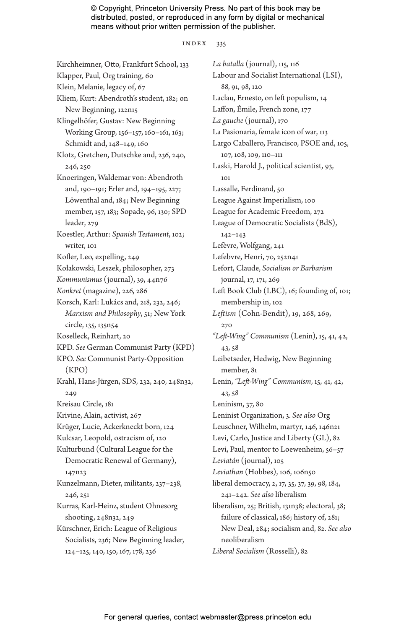#### index 335

Kirchheimner, Otto, Frankfurt School, 133 Klapper, Paul, Org training, 60 Klein, Melanie, legacy of, 67 Kliem, Kurt: Abendroth's student, 182; on New Beginning, 122n15 Klingelhöfer, Gustav: New Beginning Working Group, 156–157, 160–161, 163; Schmidt and, 148–149, 160 Klotz, Gretchen, Dutschke and, 236, 240, 246, 250 Knoeringen, Waldemar von: Abendroth and, 190–191; Erler and, 194–195, 227; Löwenthal and, 184; New Beginning member, 157, 183; Sopade, 96, 130; SPD leader, 279 Koestler, Arthur: *Spanish Testament*, 102; writer, 101 Kofler, Leo, expelling, 249 Kołakowski, Leszek, philosopher, 273 *Kommunismus* (journal), 39, 44n76 *Konkret* (magazine), 226, 286 Korsch, Karl: Lukács and, 218, 232, 246; *Marxism and Philosophy*, 51; New York circle, 135, 135n54 Koselleck, Reinhart, 20 KPD. *See* German Communist Party (KPD) KPO. *See* Communist Party-Opposition (KPO) Krahl, Hans-Jürgen, SDS, 232, 240, 248n32, 249 Kreisau Circle, 181 Krivine, Alain, activist, 267 Krüger, Lucie, Ackerkneckt born, 124 Kulcsar, Leopold, ostracism of, 120 Kulturbund (Cultural League for the Democratic Renewal of Germany), 147n23 Kunzelmann, Dieter, militants, 237–238, 246, 251 Kurras, Karl-Heinz, student Ohnesorg shooting, 248n32, 249 Kürschner, Erich: League of Religious Socialists, 236; New Beginning leader, 124–125, 140, 150, 167, 178, 236

*La batalla* (journal), 115, 116 Labour and Socialist International (LSI), 88, 91, 98, 120 Laclau, Ernesto, on left populism, 14 Laffon, Émile, French zone, 177 *La gauche* (journal), 170 La Pasionaria, female icon of war, 113 Largo Caballero, Francisco, PSOE and, 105, 107, 108, 109, 110–111 Laski, Harold J., political scientist, 93, 101 Lassalle, Ferdinand, 50 League Against Imperialism, 100 League for Academic Freedom, 272 League of Democratic Socialists (BdS), 142–143 Lefèvre, Wolfgang, 241 Lefebvre, Henri, 70, 252n41 Lefort, Claude, *Socialism or Barbarism* journal, 17, 171, 269 Left Book Club (LBC), 16; founding of, 101; membership in, 102 *Leftism* (Cohn-Bendit), 19, 268, 269, 270 *"Left-Wing" Communism* (Lenin), 15, 41, 42, 43, 58 Leibetseder, Hedwig, New Beginning member, 81 Lenin, *"Left-Wing" Communism*, 15, 41, 42, 43, 58 Leninism, 37, 80 Leninist Organization, 3. *See also* Org Leuschner, Wilhelm, martyr, 146, 146n21 Levi, Carlo, Justice and Liberty (GL), 82 Levi, Paul, mentor to Loewenheim, 56–57 *Leviatán* (journal), 105 *Leviathan* (Hobbes), 106, 106n50 liberal democracy, 2, 17, 35, 37, 39, 98, 184, 241–242. *See also* liberalism liberalism, 25; British, 131n38; electoral, 38; failure of classical, 186; history of, 281; New Deal, 284; socialism and, 82. *See also* neoliberalism *Liberal Socialism* (Rosselli), 82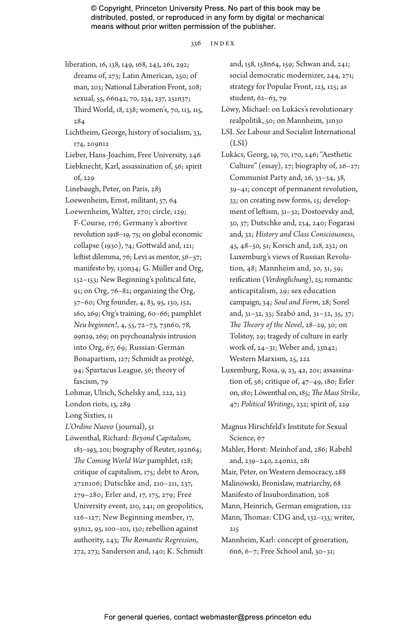#### 336 INDEX

liberation, 16, 138, 149, 168, 243, 261, 292; dreams of, 273; Latin American, 250; of man, 203; National Liberation Front, 208; sexual, 55, 66n42, 70, 234, 237, 251n37; Third World, 18, 238; women's, 70, 113, 115, 284

Lichtheim, George, history of socialism, 33, 174, 209n12

Lieber, Hans-Joachim, Free University, 246 Liebknecht, Karl, assassination of, 56; spirit of, 229

Linebaugh, Peter, on Paris, 283

Loewenheim, Ernst, militant, 57, 64

Loewenheim, Walter, 270; circle, 129; F-Course, 176; Germany's abortive revolution 1918–19, 75; on global economic collapse (1930), 74; Gottwald and, 121; leftist dilemma, 76; Levi as mentor, 56-57; manifesto by, 130n34; G. Müller and Org, 152–153; New Beginning's political fate, 91; on Org, 76–82; organizing the Org, 57–60; Org founder, 4, 83, 95, 130, 152, 160, 269; Org's training, 60–66; pamphlet *Neu beginnen!*, 4, 55, 72–73, 73n60, 78, 99n29, 269; on psychoanalysis intrusion into Org, 67, 69; Russian-German Bonapartism, 127; Schmidt as protégé, 94; Spartacus League, 56; theory of fascism, 79

Lohmar, Ulrich, Schelsky and, 222, 223

London riots, 13, 289

Long Sixties, 11

- *L'Ordine Nuovo* (journal), 51
- Löwenthal, Richard: *Beyond Capitalism*, 183–193, 201; biography of Reuter, 192n64; *The Coming World War* pamphlet, 128; critique of capitalism, 175; debt to Aron, 272n106; Dutschke and, 210–211, 237, 279–280; Erler and, 17, 175, 279; Free University event, 210, 241; on geopolitics, 126–127; New Beginning member, 17, 93n12, 95, 100–101, 130; rebellion against authority, 243; *The Romantic Regression*, 272, 273; Sanderson and, 140; K. Schmidt

and, 158, 158n64, 159; Schwan and, 241; social democratic modernizer, 244, 271; strategy for Popular Front, 123, 125; as student, 62–63, 79

- Löwy, Michael: on Lukács's revolutionary realpolitik, 50; on Mannheim, 31n30
- LSI. *See* Labour and Socialist International  $(LSI)$
- Lukács, Georg, 19, 70, 170, 246; "Aesthetic Culture" (essay), 27; biography of, 26–27; Communist Party and, 26, 33–34, 38, 39–41; concept of permanent revolution, 33; on creating new forms, 15; development of leftism, 31–32; Dostoevsky and, 30, 37; Dutschke and, 234, 240; Fogarasi and, 32; *History and Class Consciousness*, 45, 48–50, 51; Korsch and, 218, 232; on Luxemburg's views of Russian Revolution, 48; Mannheim and, 30, 31, 59; reification (*Verdinglichung*), 25; romantic anticapitalism, 29; sex education campaign, 34; *Soul and Form*, 28; Sorel and, 31–32, 35; Szabó and, 31–32, 35, 37; *The Theory of the Novel*, 28–29, 30; on Tolstoy, 29; tragedy of culture in early work of, 24–31; Weber and, 33n42; Western Marxism, 25, 222
- Luxemburg, Rosa, 9, 23, 42, 201; assassination of, 56; critique of, 47–49, 180; Erler on, 180; Löwenthal on, 185; *The Mass Strike*, 47; *Political Writings*, 232; spirit of, 229
- Magnus Hirschfeld's Institute for Sexual Science, 67
- Mahler, Horst: Meinhof and, 286; Rabehl and, 239–240, 240n12, 281

Mair, Peter, on Western democracy, 288

- Malinowski, Bronislaw, matriarchy, 68
- Manifesto of Insubordination, 208

Mann, Heinrich, German emigration, 122 Mann, Thomas: CDG and, 132–133; writer,

215

Mannheim, Karl: concept of generation, 6n6, 6–7; Free School and, 30–31;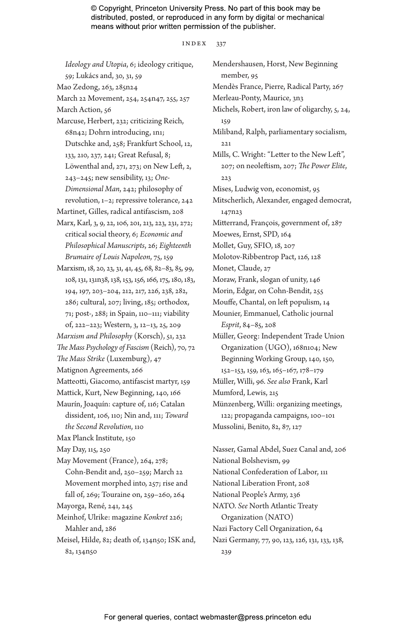#### index 337

*Ideology and Utopia*, 6; ideology critique, 59; Lukács and, 30, 31, 59 Mao Zedong, 263, 285n24 March 22 Movement, 254, 254n47, 255, 257 March Action, 56 Marcuse, Herbert, 232; criticizing Reich, 68n42; Dohrn introducing, 1n1; Dutschke and, 258; Frankfurt School, 12, 133, 210, 237, 241; Great Refusal, 8; Löwenthal and, 271, 273; on New Left, 2, 243–245; new sensibility, 13; *One-Dimensional Man*, 242; philosophy of revolution, 1–2; repressive tolerance, 242 Martinet, Gilles, radical antifascism, 208 Marx, Karl, 3, 9, 22, 106, 201, 213, 223, 231, 272; critical social theory, 6; *Economic and Philosophical Manuscripts*, 26; *Eighteenth Brumaire of Louis Napoleon*, 75, 159 Marxism, 18, 20, 23, 31, 41, 45, 68, 82–83, 85, 99, 108, 131, 131n38, 138, 153, 156, 166, 175, 180, 183, 194, 197, 203–204, 212, 217, 226, 238, 282, 286; cultural, 207; living, 185; orthodox, 71; post-, 288; in Spain, 110–111; viability of, 222–223; Western, 3, 12–13, 25, 209 *Marxism and Philosophy* (Korsch), 51, 232 *The Mass Psychology of Fascism* (Reich), 70, 72 *The Mass Strike* (Luxemburg), 47 Matignon Agreements, 266 Matteotti, Giacomo, antifascist martyr, 159 Mattick, Kurt, New Beginning, 140, 166 Maurín, Joaquín: capture of, 116; Catalan dissident, 106, 110; Nin and, 111; *Toward the Second Revolution*, 110 Max Planck Institute, 150 May Day, 115, 250 May Movement (France), 264, 278; Cohn-Bendit and, 250–259; March 22 Movement morphed into, 257; rise and fall of, 269; Touraine on, 259–260, 264 Mayorga, René, 241, 245 Meinhof, Ulrike: magazine *Konkret* 226; Mahler and, 286 Meisel, Hilde, 82; death of, 134n50; ISK and, 82, 134n50 Mendershausen, Horst, New Beginning member, 95 Mendès France, Pierre, Radical Party, 267 Merleau-Ponty, Maurice, 3n3 Michels, Robert, iron law of oligarchy, 5, 24, 159 Miliband, Ralph, parliamentary socialism, 221 Mills, C. Wright: "Letter to the New Left", 207; on neoleftism, 207; *The Power Elite*, 223 Mises, Ludwig von, economist, 95 Mitscherlich, Alexander, engaged democrat, 147n23 Mitterrand, François, government of, 287 Moewes, Ernst, SPD, 164 Mollet, Guy, SFIO, 18, 207 Molotov-Ribbentrop Pact, 126, 128 Monet, Claude, 27 Moraw, Frank, slogan of unity, 146 Morin, Edgar, on Cohn-Bendit, 255 Mouffe, Chantal, on left populism, 14 Mounier, Emmanuel, Catholic journal *Esprit*, 84–85, 208 Müller, Georg: Independent Trade Union Organization (UGO), 168n104; New Beginning Working Group, 140, 150, 152–153, 159, 163, 165–167, 178–179 Müller, Willi, 96. *See also* Frank, Karl Mumford, Lewis, 215 Münzenberg, Willi: organizing meetings, 122; propaganda campaigns, 100–101 Mussolini, Benito, 82, 87, 127 Nasser, Gamal Abdel, Suez Canal and, 206 National Bolshevism, 99 National Confederation of Labor, 111 National Liberation Front, 208 National People's Army, 236 NATO. *See* North Atlantic Treaty Organization (NATO) Nazi Factory Cell Organization, 64 Nazi Germany, 77, 90, 123, 126, 131, 133, 138, 239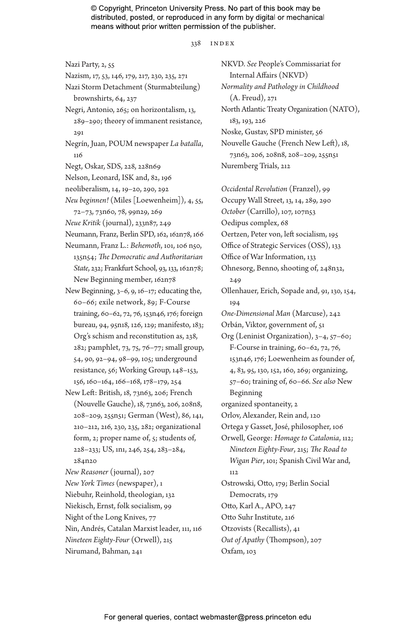#### 338 INDEX

- Nazi Party, 2, 55
- Nazism, 17, 53, 146, 179, 217, 230, 235, 271
- Nazi Storm Detachment (Sturmabteilung) brownshirts, 64, 237 Negri, Antonio, 265; on horizontalism, 13,
- 289–290; theory of immanent resistance, 291
- Negrín, Juan, POUM newspaper *La batalla*, 116
- Negt, Oskar, SDS, 228, 228n69
- Nelson, Leonard, ISK and, 82, 196
- neoliberalism, 14, 19–20, 290, 292
- *Neu beginnen!* (Miles [Loewenheim]), 4, 55, 72–73, 73n60, 78, 99n29, 269
- *Neue Kritik* (journal), 233n87, 249
- Neumann, Franz, Berlin SPD, 162, 162n78, 166
- Neumann, Franz L.: *Behemoth*, 101, 106 n50, 135n54; *The Democratic and Authoritarian State*, 232; Frankfurt School, 93, 133, 162n78; New Beginning member, 162n78
- New Beginning, 3–6, 9, 16–17; educating the, 60–66; exile network, 89; F-Course training, 60–62, 72, 76, 153n46, 176; foreign bureau, 94, 95n18, 126, 129; manifesto, 183; Org's schism and reconstitution as, 238, 282; pamphlet, 73, 75, 76–77; small group, 54, 90, 92–94, 98–99, 105; underground resistance, 56; Working Group, 148–153, 156, 160–164, 166–168, 178–179, 254
- New Left: British, 18, 73n63, 206; French (Nouvelle Gauche), 18, 73n63, 206, 208n8, 208–209, 255n51; German (West), 86, 141, 210–212, 216, 230, 235, 282; organizational form, 2; proper name of, 5; students of, 228–233; US, 1n1, 246, 254, 283–284, 284n20
- *New Reasoner* (journal), 207
- *New York Times* (newspaper), 1
- Niebuhr, Reinhold, theologian, 132
- Niekisch, Ernst, folk socialism, 99
- Night of the Long Knives, 77
- Nin, Andrés, Catalan Marxist leader, 111, 116
- *Nineteen Eighty-Four* (Orwell), 215
- Nirumand, Bahman, 241

Internal Affairs (NKVD) *Normality and Pathology in Childhood* (A. Freud), 271 North Atlantic Treaty Organization (NATO), 183, 193, 226 Noske, Gustav, SPD minister, 56 Nouvelle Gauche (French New Left), 18, 73n63, 206, 208n8, 208–209, 255n51 Nuremberg Trials, 212

NKVD. *See* People's Commissariat for

- *Occidental Revolution* (Franzel), 99 Occupy Wall Street, 13, 14, 289, 290 *October* (Carrillo), 107, 107n53 Oedipus complex, 68 Oertzen, Peter von, left socialism, 195 Office of Strategic Services (OSS), 133 Office of War Information, 133 Ohnesorg, Benno, shooting of, 248n32, 249 Ollenhauer, Erich, Sopade and, 91, 130, 154, 194 *One-Dimensional Man* (Marcuse), 242 Orbán, Viktor, government of, 51 Org (Leninist Organization), 3–4, 57–60; F-Course in training, 60–62, 72, 76, 153n46, 176; Loewenheim as founder of, 4, 83, 95, 130, 152, 160, 269; organizing, 57–60; training of, 60–66. *See also* New Beginning organized spontaneity, 2 Orlov, Alexander, Rein and, 120 Ortega y Gasset, José, philosopher, 106 Orwell, George: *Homage to Catalonia*, 112; *Nineteen Eighty-Four*, 215; *The Road to Wigan Pier*, 101; Spanish Civil War and, 112 Ostrowski, Otto, 179; Berlin Social Democrats, 179 Otto, Karl A., APO, 247 Otto Suhr Institute, 216 Otzovists (Recallists), 41
- *Out of Apathy* (Thompson), 207
	- Oxfam, 103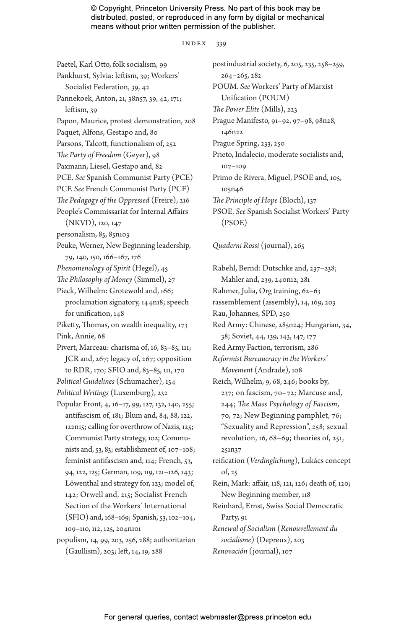#### index 339

Paetel, Karl Otto, folk socialism, 99 Pankhurst, Sylvia: leftism, 39; Workers' Socialist Federation, 39, 42 Pannekoek, Anton, 21, 38n57, 39, 42, 171; leftism, 39 Papon, Maurice, protest demonstration, 208 Paquet, Alfons, Gestapo and, 80 Parsons, Talcott, functionalism of, 252 *The Party of Freedom* (Geyer), 98 Paxmann, Liesel, Gestapo and, 82 PCE. *See* Spanish Communist Party (PCE) PCF. *See* French Communist Party (PCF) *The Pedagogy of the Oppressed* (Freire), 216 People's Commissariat for Internal Affairs (NKVD), 120, 147 personalism, 85, 85n103 Peuke, Werner, New Beginning leadership, 79, 140, 150, 166–167, 176 *Phenomenology of Spirit* (Hegel), 45 *The Philosophy of Money* (Simmel), 27 Pieck, Wilhelm: Grotewohl and, 166; proclamation signatory, 144n18; speech for unification, 148 Piketty, Thomas, on wealth inequality, 173 Pink, Annie, 68 Pivert, Marceau: charisma of, 16, 83-85, 111; JCR and, 267; legacy of, 267; opposition to RDR, 170; SFIO and, 83–85, 111, 170 *Political Guidelines* (Schumacher), 154 *Political Writings* (Luxemburg), 232 Popular Front, 4, 16–17, 99, 127, 132, 140, 255; antifascism of, 181; Blum and, 84, 88, 122, 122n15; calling for overthrow of Nazis, 125; Communist Party strategy, 102; Communists and, 53, 83; establishment of, 107–108; feminist antifascism and, 114; French, 53, 94, 122, 125; German, 109, 119, 121–126, 143; Löwenthal and strategy for, 123; model of, 142; Orwell and, 215; Socialist French Section of the Workers' International (SFIO) and, 168–169; Spanish, 53, 102–104, 109–110, 112, 125, 204n101 populism, 14, 99, 203, 256, 288; authoritarian (Gaullism), 203; left, 14, 19, 288

postindustrial society, 6, 205, 235, 258–259, 264–265, 282 POUM. *See* Workers' Party of Marxist Unification (POUM) *The Power Elite* (Mills), 223 Prague Manifesto, 91–92, 97–98, 98n28, 146n22 Prague Spring, 233, 250 Prieto, Indalecio, moderate socialists and, 107–109 Primo de Rivera, Miguel, PSOE and, 105, 105n46 *The Principle of Hope* (Bloch), 137 PSOE. *See* Spanish Socialist Workers' Party (PSOE)

# *Quaderni Rossi* (journal), 265

Rabehl, Bernd: Dutschke and, 237–238; Mahler and, 239, 240n12, 281 Rahmer, Julia, Org training, 62–63 rassemblement (assembly), 14, 169, 203 Rau, Johannes, SPD, 250 Red Army: Chinese, 285n24; Hungarian, 34, 38; Soviet, 44, 139, 143, 147, 177 Red Army Faction, terrorism, 286 *Reformist Bureaucracy in the Workers' Movement* (Andrade), 108 Reich, Wilhelm, 9, 68, 246; books by, 237; on fascism, 70–72; Marcuse and, 244; *The Mass Psychology of Fascism*, 70, 72; New Beginning pamphlet, 76; "Sexuality and Repression", 258; sexual revolution, 16, 68–69; theories of, 251, 251n37 reification (*Verdinglichung*), Lukács concept of, 25 Rein, Mark: affair, 118, 121, 126; death of, 120; New Beginning member, 118 Reinhard, Ernst, Swiss Social Democratic Party, 91 *Renewal of Socialism* (*Renouvellement du socialisme*) (Depreux), 203

*Renovación* (journal), 107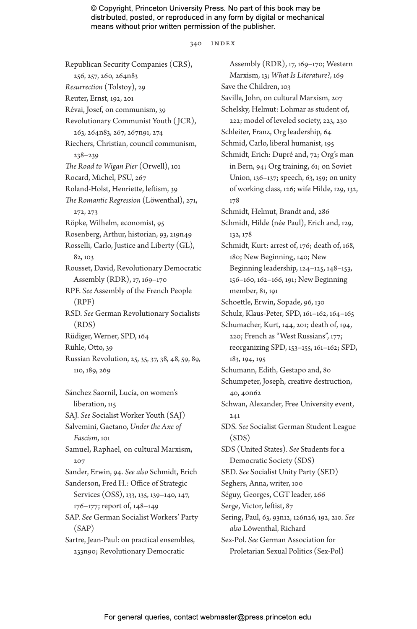340 INDEX

Republican Security Companies (CRS), 256, 257, 260, 264n83 *Resurrection* (Tolstoy), 29 Reuter, Ernst, 192, 201 Révai, Josef, on communism, 39 Revolutionary Communist Youth ( JCR), 263, 264n83, 267, 267n91, 274 Riechers, Christian, council communism, 238–239 *The Road to Wigan Pier* (Orwell), 101 Rocard, Michel, PSU, 267 Roland-Holst, Henriette, leftism, 39 *The Romantic Regression* (Löwenthal), 271, 272, 273 Röpke, Wilhelm, economist, 95 Rosenberg, Arthur, historian, 93, 219n49 Rosselli, Carlo, Justice and Liberty (GL), 82, 103 Rousset, David, Revolutionary Democratic Assembly (RDR), 17, 169–170 RPF. *See* Assembly of the French People (RPF) RSD. *See* German Revolutionary Socialists (RDS) Rüdiger, Werner, SPD, 164 Rühle, Otto, 39 Russian Revolution, 25, 35, 37, 38, 48, 59, 89, 110, 189, 269

Sánchez Saornil, Lucía, on women's liberation, 115 SAJ. *See* Socialist Worker Youth (SAJ) Salvemini, Gaetano, *Under the Axe of Fascism*, 101 Samuel, Raphael, on cultural Marxism, 207 Sander, Erwin, 94. *See also* Schmidt, Erich Sanderson, Fred H.: Office of Strategic Services (OSS), 133, 135, 139–140, 147, 176–177; report of, 148–149 SAP. *See* German Socialist Workers' Party (SAP) Sartre, Jean-Paul: on practical ensembles, 233n90; Revolutionary Democratic

Assembly (RDR), 17, 169–170; Western Marxism, 13; *What Is Literature?,* 169 Save the Children, 103 Saville, John, on cultural Marxism, 207 Schelsky, Helmut: Lohmar as student of, 222; model of leveled society, 223, 230 Schleiter, Franz, Org leadership, 64 Schmid, Carlo, liberal humanist, 195 Schmidt, Erich: Dupré and, 72; Org's man in Bern, 94; Org training, 61; on Soviet Union, 136–137; speech, 63, 159; on unity of working class, 126; wife Hilde, 129, 132, 178 Schmidt, Helmut, Brandt and, 286 Schmidt, Hilde (née Paul), Erich and, 129, 132, 178 Schmidt, Kurt: arrest of, 176; death of, 168, 180; New Beginning, 140; New Beginning leadership, 124–125, 148–153, 156–160, 162–166, 191; New Beginning member, 81, 191 Schoettle, Erwin, Sopade, 96, 130 Schulz, Klaus-Peter, SPD, 161–162, 164–165 Schumacher, Kurt, 144, 201; death of, 194, 220; French as "West Russians", 177; reorganizing SPD, 153–155, 161–162; SPD, 183, 194, 195 Schumann, Edith, Gestapo and, 80 Schumpeter, Joseph, creative destruction, 40, 40n62 Schwan, Alexander, Free University event, 241 SDS. *See* Socialist German Student League (SDS) SDS (United States). *See* Students for a Democratic Society (SDS) SED. *See* Socialist Unity Party (SED) Seghers, Anna, writer, 100 Séguy, Georges, CGT leader, 266 Serge, Victor, leftist, 87 Sering, Paul, 63, 93n12, 126n26, 192, 210. *See also* Löwenthal, Richard Sex-Pol. *See* German Association for Proletarian Sexual Politics (Sex-Pol)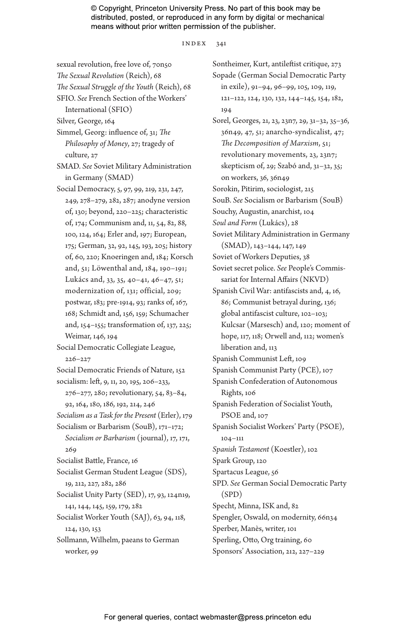index 341

sexual revolution, free love of, 70n50

*The Sexual Revolution* (Reich), 68 *The Sexual Struggle of the Youth* (Reich), 68

- SFIO. *See* French Section of the Workers' International (SFIO)
- Silver, George, 164
- Simmel, Georg: influence of, 31; *The Philosophy of Money*, 27; tragedy of culture, 27
- SMAD. *See* Soviet Military Administration in Germany (SMAD)
- Social Democracy, 5, 97, 99, 219, 231, 247, 249, 278–279, 282, 287; anodyne version of, 130; beyond, 220–225; characteristic of, 174; Communism and, 11, 54, 82, 88, 100, 124, 164; Erler and, 197; European, 175; German, 32, 92, 145, 193, 205; history of, 60, 220; Knoeringen and, 184; Korsch and, 51; Löwenthal and, 184, 190–191; Lukács and, 33, 35, 40–41, 46–47, 51; modernization of, 131; official, 209; postwar, 183; pre-1914, 93; ranks of, 167, 168; Schmidt and, 156, 159; Schumacher and, 154–155; transformation of, 137, 225; Weimar, 146, 194

Social Democratic Collegiate League, 226–227

Social Democratic Friends of Nature, 152

- socialism: left, 9, 11, 20, 195, 206–233, 276–277, 280; revolutionary, 54, 83–84,
- 92, 164, 180, 186, 192, 214, 246 *Socialism as a Task for the Present* (Erler), 179 Socialism or Barbarism (SouB), 171–172;
- *Socialism or Barbarism* (journal), 17, 171, 269
- Socialist Battle, France, 16
- Socialist German Student League (SDS), 19, 212, 227, 282, 286

Socialist Unity Party (SED), 17, 93, 124n19, 141, 144, 145, 159, 179, 282 Socialist Worker Youth (SAJ), 63, 94, 118,

124, 130, 153

Sollmann, Wilhelm, paeans to German worker, 99

Sontheimer, Kurt, antileftist critique, 273 Sopade (German Social Democratic Party in exile), 91–94, 96–99, 105, 109, 119, 121–122, 124, 130, 132, 144–145, 154, 182, 194 Sorel, Georges, 21, 23, 23n7, 29, 31–32, 35–36, 36n49, 47, 51; anarcho-syndicalist, 47; *The Decomposition of Marxism*, 51; revolutionary movements, 23, 23n7; skepticism of, 29; Szabó and, 31–32, 35; on workers, 36, 36n49 Sorokin, Pitirim, sociologist, 215 SouB. *See* Socialism or Barbarism (SouB) Souchy, Augustin, anarchist, 104 *Soul and Form* (Lukács), 28 Soviet Military Administration in Germany (SMAD), 143–144, 147, 149 Soviet of Workers Deputies, 38 Soviet secret police. *See* People's Commissariat for Internal Affairs (NKVD) Spanish Civil War: antifascists and, 4, 16, 86; Communist betrayal during, 136; global antifascist culture, 102–103; Kulcsar (Marsesch) and, 120; moment of hope, 117, 118; Orwell and, 112; women's liberation and, 113 Spanish Communist Left, 109 Spanish Communist Party (PCE), 107 Spanish Confederation of Autonomous Rights, 106 Spanish Federation of Socialist Youth, PSOE and, 107 Spanish Socialist Workers' Party (PSOE), 104–111 *Spanish Testament* (Koestler), 102 Spark Group, 120 Spartacus League, 56 SPD. *See* German Social Democratic Party (SPD) Specht, Minna, ISK and, 82 Spengler, Oswald, on modernity, 66n34 Sperber, Manès, writer, 101 Sperling, Otto, Org training, 60

Sponsors' Association, 212, 227–229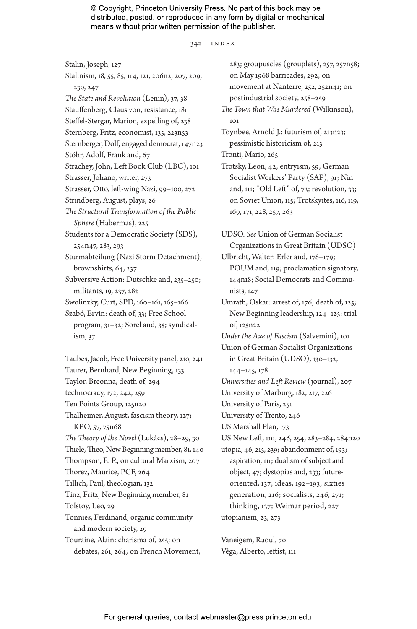342 index

Stalin, Joseph, 127 Stalinism, 18, 55, 85, 114, 121, 206n2, 207, 209, 230, 247 *The State and Revolution* (Lenin), 37, 38 Stauffenberg, Claus von, resistance, 181 Steffel-Stergar, Marion, expelling of, 238 Sternberg, Fritz, economist, 135, 223n53 Sternberger, Dolf, engaged democrat, 147n23 Stöhr, Adolf, Frank and, 67 Strachey, John, Left Book Club (LBC), 101 Strasser, Johano, writer, 273 Strasser, Otto, left-wing Nazi, 99–100, 272 Strindberg, August, plays, 26 *The Structural Transformation of the Public Sphere* (Habermas), 225 Students for a Democratic Society (SDS), 254n47, 283, 293 Sturmabteilung (Nazi Storm Detachment), brownshirts, 64, 237 Subversive Action: Dutschke and, 235–250; militants, 19, 237, 282 Swolinzky, Curt, SPD, 160–161, 165–166 Szabó, Ervin: death of, 33; Free School program, 31–32; Sorel and, 35; syndicalism, 37 Taubes, Jacob, Free University panel, 210, 241 Taurer, Bernhard, New Beginning, 133 Taylor, Breonna, death of, 294 technocracy, 172, 242, 259 Ten Points Group, 125n20 Thalheimer, August, fascism theory, 127; KPO, 57, 75n68 *The Theory of the Novel* (Lukács), 28–29, 30 Thiele, Theo, New Beginning member, 81, 140 Thompson, E. P., on cultural Marxism, 207 Thorez, Maurice, PCF, 264 Tillich, Paul, theologian, 132 Tinz, Fritz, New Beginning member, 81 Tolstoy, Leo, 29 Tönnies, Ferdinand, organic community and modern society, 29 Touraine, Alain: charisma of, 255; on debates, 261, 264; on French Movement,

283; groupuscles (grouplets), 257, 257n58; on May 1968 barricades, 292; on movement at Nanterre, 252, 252n41; on postindustrial society, 258–259 *The Town that Was Murdered* (Wilkinson), 101 Toynbee, Arnold J.: futurism of, 213n23; pessimistic historicism of, 213 Tronti, Mario, 265 Trotsky, Leon, 42; entryism, 59; German Socialist Workers' Party (SAP), 91; Nin and, 111; "Old Left" of, 73; revolution, 33; on Soviet Union, 115; Trotskyites, 116, 119, 169, 171, 228, 257, 263 UDSO. *See* Union of German Socialist Organizations in Great Britain (UDSO) Ulbricht, Walter: Erler and, 178–179; POUM and, 119; proclamation signatory, 144n18; Social Democrats and Communists, 147 Umrath, Oskar: arrest of, 176; death of, 125; New Beginning leadership, 124–125; trial of, 125n22 *Under the Axe of Fascism* (Salvemini), 101 Union of German Socialist Organizations in Great Britain (UDSO), 130–132, 144–145, 178 *Universities and Left Review* (journal), 207 University of Marburg, 182, 217, 226 University of Paris, 251 University of Trento, 246 US Marshall Plan, 173 US New Left, 1n1, 246, 254, 283–284, 284n20 utopia, 46, 215, 239; abandonment of, 193; aspiration, 111; dualism of subject and object, 47; dystopias and, 233; futureoriented, 137; ideas, 192–193; sixties generation, 216; socialists, 246, 271; thinking, 137; Weimar period, 227 utopianism, 23, 273

Vaneigem, Raoul, 70 Véga, Alberto, leftist, 111